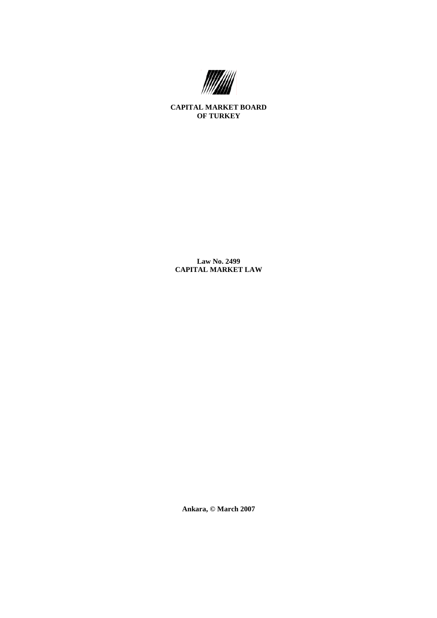

**CAPITAL MARKET BOARD OF TURKEY** 

**Law No. 2499 CAPITAL MARKET LAW** 

**Ankara, © March 2007**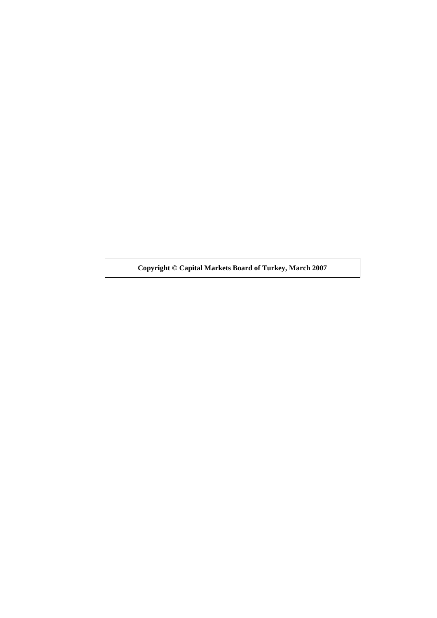**Copyright © Capital Markets Board of Turkey, March 2007**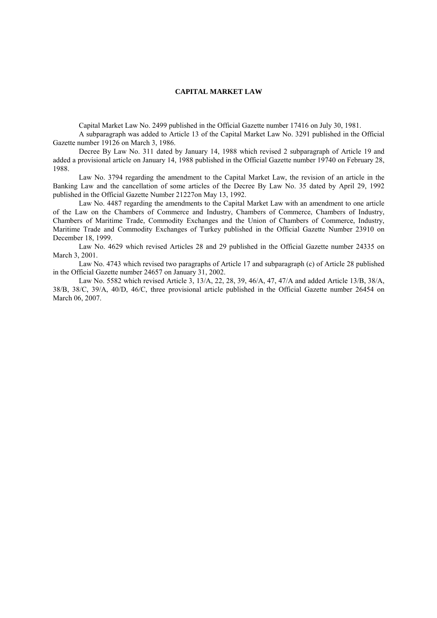### **CAPITAL MARKET LAW**

Capital Market Law No. 2499 published in the Official Gazette number 17416 on July 30, 1981.

 A subparagraph was added to Article 13 of the Capital Market Law No. 3291 published in the Official Gazette number 19126 on March 3, 1986.

 Decree By Law No. 311 dated by January 14, 1988 which revised 2 subparagraph of Article 19 and added a provisional article on January 14, 1988 published in the Official Gazette number 19740 on February 28, 1988.

 Law No. 3794 regarding the amendment to the Capital Market Law, the revision of an article in the Banking Law and the cancellation of some articles of the Decree By Law No. 35 dated by April 29, 1992 published in the Official Gazette Number 21227on May 13, 1992.

 Law No. 4487 regarding the amendments to the Capital Market Law with an amendment to one article of the Law on the Chambers of Commerce and Industry, Chambers of Commerce, Chambers of Industry, Chambers of Maritime Trade, Commodity Exchanges and the Union of Chambers of Commerce, Industry, Maritime Trade and Commodity Exchanges of Turkey published in the Official Gazette Number 23910 on December 18, 1999.

 Law No. 4629 which revised Articles 28 and 29 published in the Official Gazette number 24335 on March 3, 2001.

 Law No. 4743 which revised two paragraphs of Article 17 and subparagraph (c) of Article 28 published in the Official Gazette number 24657 on January 31, 2002.

 Law No. 5582 which revised Article 3, 13/A, 22, 28, 39, 46/A, 47, 47/A and added Article 13/B, 38/A, 38/B, 38/C, 39/A, 40/D, 46/C, three provisional article published in the Official Gazette number 26454 on March 06, 2007.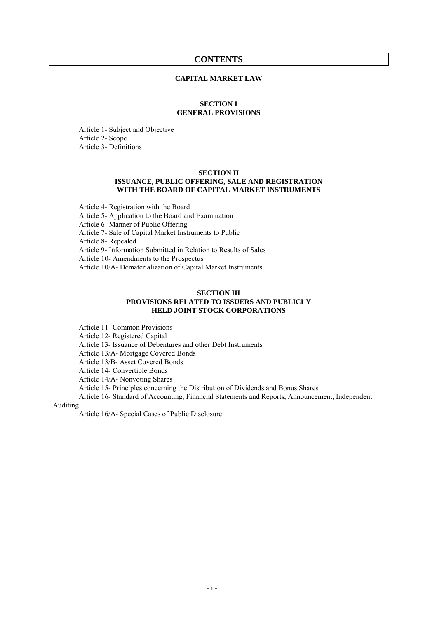## **CONTENTS**

### **CAPITAL MARKET LAW**

### **SECTION I GENERAL PROVISIONS**

Article 1- Subject and Objective Article 2- Scope Article 3- Definitions

### **SECTION II ISSUANCE, PUBLIC OFFERING, SALE AND REGISTRATION WITH THE BOARD OF CAPITAL MARKET INSTRUMENTS**

Article 4- Registration with the Board Article 5- Application to the Board and Examination Article 6- Manner of Public Offering Article 7- Sale of Capital Market Instruments to Public Article 8- Repealed Article 9- Information Submitted in Relation to Results of Sales Article 10- Amendments to the Prospectus Article 10/A- Dematerialization of Capital Market Instruments

### **SECTION III PROVISIONS RELATED TO ISSUERS AND PUBLICLY HELD JOINT STOCK CORPORATIONS**

Article 11- Common Provisions

Article 12- Registered Capital

Article 13- Issuance of Debentures and other Debt Instruments

Article 13/A- Mortgage Covered Bonds

Article 13/B- Asset Covered Bonds

Article 14- Convertible Bonds

Article 14/A- Nonvoting Shares

Article 15- Principles concerning the Distribution of Dividends and Bonus Shares

 Article 16- Standard of Accounting, Financial Statements and Reports, Announcement, Independent Auditing

Article 16/A- Special Cases of Public Disclosure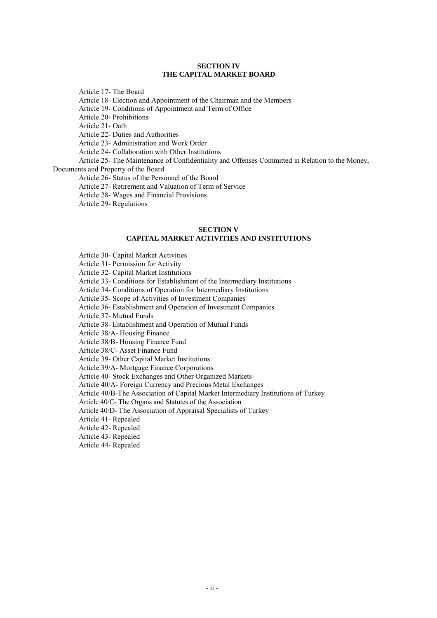### **SECTION IV THE CAPITAL MARKET BOARD**

Article 17- The Board

Article 18- Election and Appointment of the Chairman and the Members

Article 19- Conditions of Appointment and Term of Office

Article 20- Prohibitions

Article 21- Oath

Article 22- Duties and Authorities

Article 23- Administration and Work Order

Article 24- Collaboration with Other Institutions

 Article 25- The Maintenance of Confidentiality and Offenses Committed in Relation to the Money, Documents and Property of the Board

Article 26- Status of the Personnel of the Board

Article 27- Retirement and Valuation of Term of Service

Article 28- Wages and Financial Provisions

Article 29- Regulations

### **SECTION V CAPITAL MARKET ACTIVITIES AND INSTITUTIONS**

Article 30- Capital Market Activities

Article 31- Permission for Activity

Article 32- Capital Market Institutions

Article 33- Conditions for Establishment of the Intermediary Institutions

Article 34- Conditions of Operation for Intermediary Institutions

Article 35- Scope of Activities of Investment Companies

Article 36- Establishment and Operation of Investment Companies

Article 37- Mutual Funds

Article 38- Establishment and Operation of Mutual Funds

Article 38/A- Housing Finance

Article 38/B- Housing Finance Fund

Article 38/C- Asset Finance Fund

Article 39- Other Capital Market Institutions

Article 39/A- Mortgage Finance Corporations

Article 40- Stock Exchanges and Other Organized Markets

Article 40/A- Foreign Currency and Precious Metal Exchanges

Article 40/B-The Association of Capital Market Intermediary Institutions of Turkey

Article 40/C- The Organs and Statutes of the Association

Article 40/D- The Association of Appraisal Specialists of Turkey

Article 41- Repealed

Article 42- Repealed

Article 43- Repealed

Article 44- Repealed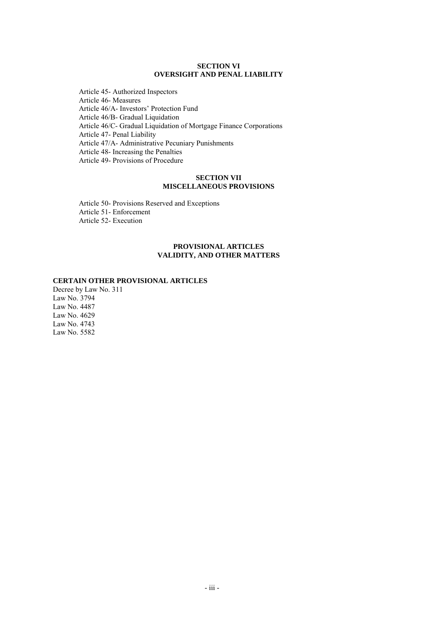### **SECTION VI OVERSIGHT AND PENAL LIABILITY**

 Article 45- Authorized Inspectors Article 46- Measures Article 46/A- Investors' Protection Fund Article 46/B- Gradual Liquidation Article 46/C- Gradual Liquidation of Mortgage Finance Corporations Article 47- Penal Liability Article 47/A- Administrative Pecuniary Punishments Article 48- Increasing the Penalties Article 49- Provisions of Procedure

### **SECTION VII MISCELLANEOUS PROVISIONS**

Article 50- Provisions Reserved and Exceptions Article 51- Enforcement Article 52- Execution

### **PROVISIONAL ARTICLES VALIDITY, AND OTHER MATTERS**

#### **CERTAIN OTHER PROVISIONAL ARTICLES**

Decree by Law No. 311 Law No. 3794 Law No. 4487 Law No. 4629 Law No. 4743 Law No. 5582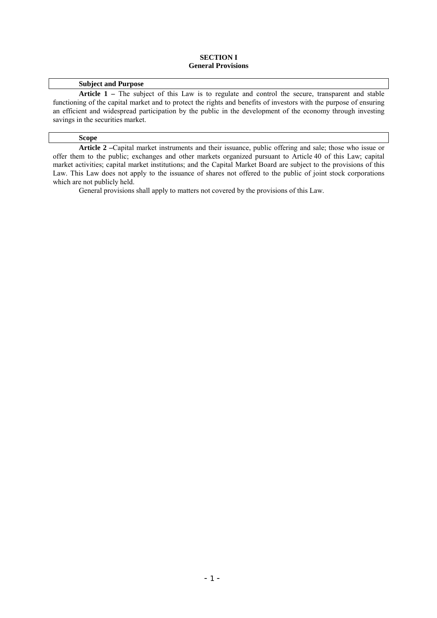### **SECTION I General Provisions**

## **Subject and Purpose**

Article 1 – The subject of this Law is to regulate and control the secure, transparent and stable functioning of the capital market and to protect the rights and benefits of investors with the purpose of ensuring an efficient and widespread participation by the public in the development of the economy through investing savings in the securities market.

#### **Scope**

 **Article 2 –**Capital market instruments and their issuance, public offering and sale; those who issue or offer them to the public; exchanges and other markets organized pursuant to Article 40 of this Law; capital market activities; capital market institutions; and the Capital Market Board are subject to the provisions of this Law. This Law does not apply to the issuance of shares not offered to the public of joint stock corporations which are not publicly held.

General provisions shall apply to matters not covered by the provisions of this Law.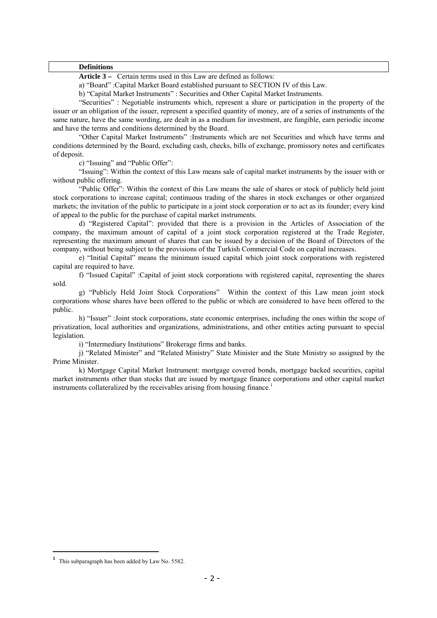#### **Definitions**

 **Article 3 –** Certain terms used in this Law are defined as follows:

a) "Board" :Capital Market Board established pursuant to SECTION IV of this Law.

b) "Capital Market Instruments" : Securities and Other Capital Market Instruments.

 "Securities" : Negotiable instruments which, represent a share or participation in the property of the issuer or an obligation of the issuer, represent a specified quantity of money, are of a series of instruments of the same nature, have the same wording, are dealt in as a medium for investment, are fungible, earn periodic income and have the terms and conditions determined by the Board.

 "Other Capital Market Instruments" :Instruments which are not Securities and which have terms and conditions determined by the Board, excluding cash, checks, bills of exchange, promissory notes and certificates of deposit.

c) "Issuing" and "Public Offer":

"Issuing": Within the context of this Law means sale of capital market instruments by the issuer with or without public offering.

 "Public Offer": Within the context of this Law means the sale of shares or stock of publicly held joint stock corporations to increase capital; continuous trading of the shares in stock exchanges or other organized markets; the invitation of the public to participate in a joint stock corporation or to act as its founder; every kind of appeal to the public for the purchase of capital market instruments.

 d) "Registered Capital": provided that there is a provision in the Articles of Association of the company, the maximum amount of capital of a joint stock corporation registered at the Trade Register, representing the maximum amount of shares that can be issued by a decision of the Board of Directors of the company, without being subject to the provisions of the Turkish Commercial Code on capital increases.

 e) "Initial Capital" means the minimum issued capital which joint stock corporations with registered capital are required to have.

 f) "Issued Capital" :Capital of joint stock corporations with registered capital, representing the shares sold.

 g) "Publicly Held Joint Stock Corporations" Within the context of this Law mean joint stock corporations whose shares have been offered to the public or which are considered to have been offered to the public.

 h) "Issuer" :Joint stock corporations, state economic enterprises, including the ones within the scope of privatization, local authorities and organizations, administrations, and other entities acting pursuant to special legislation.

i) "Intermediary Institutions" Brokerage firms and banks.

 j) "Related Minister" and "Related Ministry" State Minister and the State Ministry so assigned by the Prime Minister.

k) Mortgage Capital Market Instrument: mortgage covered bonds, mortgage backed securities, capital market instruments other than stocks that are issued by mortgage finance corporations and other capital market instruments collateralized by the receivables arising from housing finance.<sup>1</sup>

**<sup>1</sup>** This subparagraph has been added by Law No. 5582.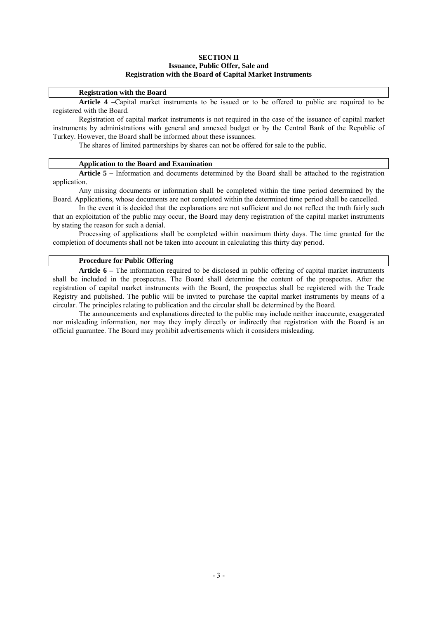### **SECTION II Issuance, Public Offer, Sale and Registration with the Board of Capital Market Instruments**

#### **Registration with the Board**

 **Article 4 –**Capital market instruments to be issued or to be offered to public are required to be registered with the Board.

 Registration of capital market instruments is not required in the case of the issuance of capital market instruments by administrations with general and annexed budget or by the Central Bank of the Republic of Turkey. However, the Board shall be informed about these issuances.

The shares of limited partnerships by shares can not be offered for sale to the public.

#### **Application to the Board and Examination**

 **Article 5 –** Information and documents determined by the Board shall be attached to the registration application.

 Any missing documents or information shall be completed within the time period determined by the Board. Applications, whose documents are not completed within the determined time period shall be cancelled.

 In the event it is decided that the explanations are not sufficient and do not reflect the truth fairly such that an exploitation of the public may occur, the Board may deny registration of the capital market instruments by stating the reason for such a denial.

 Processing of applications shall be completed within maximum thirty days. The time granted for the completion of documents shall not be taken into account in calculating this thirty day period.

### **Procedure for Public Offering**

 **Article 6 –** The information required to be disclosed in public offering of capital market instruments shall be included in the prospectus. The Board shall determine the content of the prospectus. After the registration of capital market instruments with the Board, the prospectus shall be registered with the Trade Registry and published. The public will be invited to purchase the capital market instruments by means of a circular. The principles relating to publication and the circular shall be determined by the Board.

 The announcements and explanations directed to the public may include neither inaccurate, exaggerated nor misleading information, nor may they imply directly or indirectly that registration with the Board is an official guarantee. The Board may prohibit advertisements which it considers misleading.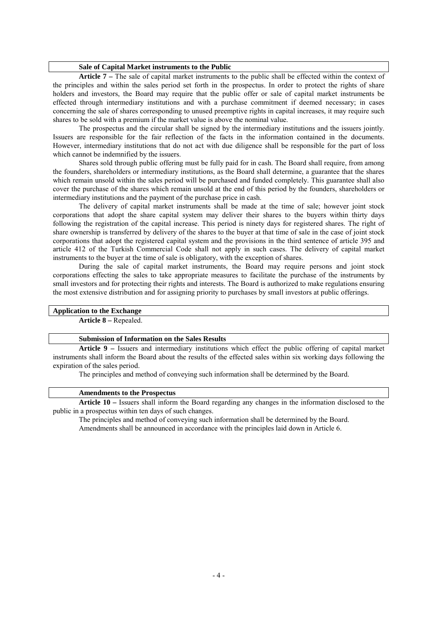#### **Sale of Capital Market instruments to the Public**

 **Article 7 –** The sale of capital market instruments to the public shall be effected within the context of the principles and within the sales period set forth in the prospectus. In order to protect the rights of share holders and investors, the Board may require that the public offer or sale of capital market instruments be effected through intermediary institutions and with a purchase commitment if deemed necessary; in cases concerning the sale of shares corresponding to unused preemptive rights in capital increases, it may require such shares to be sold with a premium if the market value is above the nominal value.

 The prospectus and the circular shall be signed by the intermediary institutions and the issuers jointly. Issuers are responsible for the fair reflection of the facts in the information contained in the documents. However, intermediary institutions that do not act with due diligence shall be responsible for the part of loss which cannot be indemnified by the issuers.

 Shares sold through public offering must be fully paid for in cash. The Board shall require, from among the founders, shareholders or intermediary institutions, as the Board shall determine, a guarantee that the shares which remain unsold within the sales period will be purchased and funded completely. This guarantee shall also cover the purchase of the shares which remain unsold at the end of this period by the founders, shareholders or intermediary institutions and the payment of the purchase price in cash.

 The delivery of capital market instruments shall be made at the time of sale; however joint stock corporations that adopt the share capital system may deliver their shares to the buyers within thirty days following the registration of the capital increase. This period is ninety days for registered shares. The right of share ownership is transferred by delivery of the shares to the buyer at that time of sale in the case of joint stock corporations that adopt the registered capital system and the provisions in the third sentence of article 395 and article 412 of the Turkish Commercial Code shall not apply in such cases. The delivery of capital market instruments to the buyer at the time of sale is obligatory, with the exception of shares.

 During the sale of capital market instruments, the Board may require persons and joint stock corporations effecting the sales to take appropriate measures to facilitate the purchase of the instruments by small investors and for protecting their rights and interests. The Board is authorized to make regulations ensuring the most extensive distribution and for assigning priority to purchases by small investors at public offerings.

## **Application to the Exchange**

**Article 8 –** Repealed.

#### **Submission of Information on the Sales Results**

**Article 9 –** Issuers and intermediary institutions which effect the public offering of capital market instruments shall inform the Board about the results of the effected sales within six working days following the expiration of the sales period.

The principles and method of conveying such information shall be determined by the Board.

### **Amendments to the Prospectus**

**Article 10 –** Issuers shall inform the Board regarding any changes in the information disclosed to the public in a prospectus within ten days of such changes.

 The principles and method of conveying such information shall be determined by the Board. Amendments shall be announced in accordance with the principles laid down in Article 6.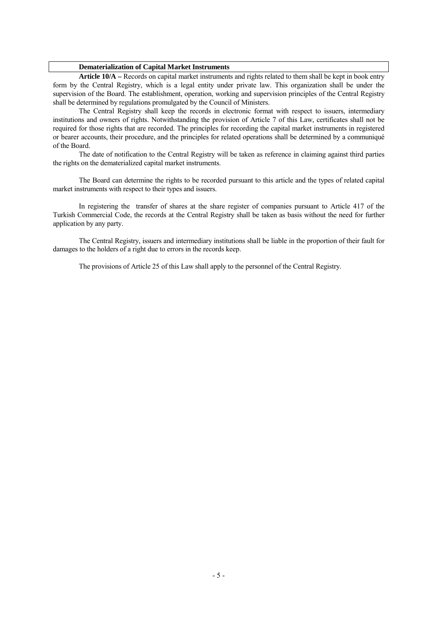### **Dematerialization of Capital Market Instruments**

**Article 10/A –** Records on capital market instruments and rights related to them shall be kept in book entry form by the Central Registry, which is a legal entity under private law. This organization shall be under the supervision of the Board. The establishment, operation, working and supervision principles of the Central Registry shall be determined by regulations promulgated by the Council of Ministers.

 The Central Registry shall keep the records in electronic format with respect to issuers, intermediary institutions and owners of rights. Notwithstanding the provision of Article 7 of this Law, certificates shall not be required for those rights that are recorded. The principles for recording the capital market instruments in registered or bearer accounts, their procedure, and the principles for related operations shall be determined by a communiqué of the Board.

 The date of notification to the Central Registry will be taken as reference in claiming against third parties the rights on the dematerialized capital market instruments.

 The Board can determine the rights to be recorded pursuant to this article and the types of related capital market instruments with respect to their types and issuers.

 In registering the transfer of shares at the share register of companies pursuant to Article 417 of the Turkish Commercial Code, the records at the Central Registry shall be taken as basis without the need for further application by any party.

 The Central Registry, issuers and intermediary institutions shall be liable in the proportion of their fault for damages to the holders of a right due to errors in the records keep.

The provisions of Article 25 of this Law shall apply to the personnel of the Central Registry.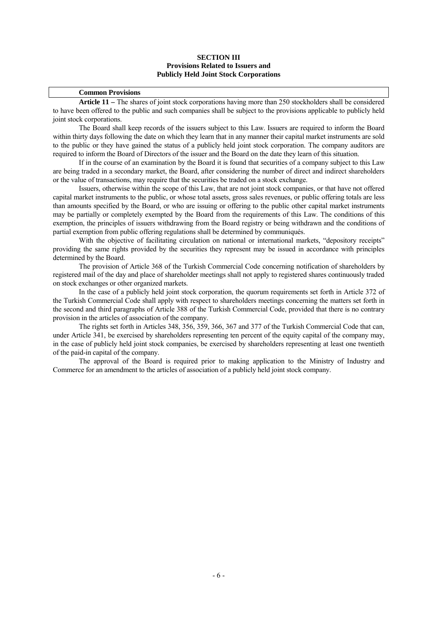### **SECTION III Provisions Related to Issuers and Publicly Held Joint Stock Corporations**

### **Common Provisions**

**Article 11 –** The shares of joint stock corporations having more than 250 stockholders shall be considered to have been offered to the public and such companies shall be subject to the provisions applicable to publicly held joint stock corporations.

 The Board shall keep records of the issuers subject to this Law. Issuers are required to inform the Board within thirty days following the date on which they learn that in any manner their capital market instruments are sold to the public or they have gained the status of a publicly held joint stock corporation. The company auditors are required to inform the Board of Directors of the issuer and the Board on the date they learn of this situation.

 If in the course of an examination by the Board it is found that securities of a company subject to this Law are being traded in a secondary market, the Board, after considering the number of direct and indirect shareholders or the value of transactions, may require that the securities be traded on a stock exchange.

 Issuers, otherwise within the scope of this Law, that are not joint stock companies, or that have not offered capital market instruments to the public, or whose total assets, gross sales revenues, or public offering totals are less than amounts specified by the Board, or who are issuing or offering to the public other capital market instruments may be partially or completely exempted by the Board from the requirements of this Law. The conditions of this exemption, the principles of issuers withdrawing from the Board registry or being withdrawn and the conditions of partial exemption from public offering regulations shall be determined by communiqués.

With the objective of facilitating circulation on national or international markets, "depository receipts" providing the same rights provided by the securities they represent may be issued in accordance with principles determined by the Board.

 The provision of Article 368 of the Turkish Commercial Code concerning notification of shareholders by registered mail of the day and place of shareholder meetings shall not apply to registered shares continuously traded on stock exchanges or other organized markets.

 In the case of a publicly held joint stock corporation, the quorum requirements set forth in Article 372 of the Turkish Commercial Code shall apply with respect to shareholders meetings concerning the matters set forth in the second and third paragraphs of Article 388 of the Turkish Commercial Code, provided that there is no contrary provision in the articles of association of the company.

 The rights set forth in Articles 348, 356, 359, 366, 367 and 377 of the Turkish Commercial Code that can, under Article 341, be exercised by shareholders representing ten percent of the equity capital of the company may, in the case of publicly held joint stock companies, be exercised by shareholders representing at least one twentieth of the paid-in capital of the company.

 The approval of the Board is required prior to making application to the Ministry of Industry and Commerce for an amendment to the articles of association of a publicly held joint stock company.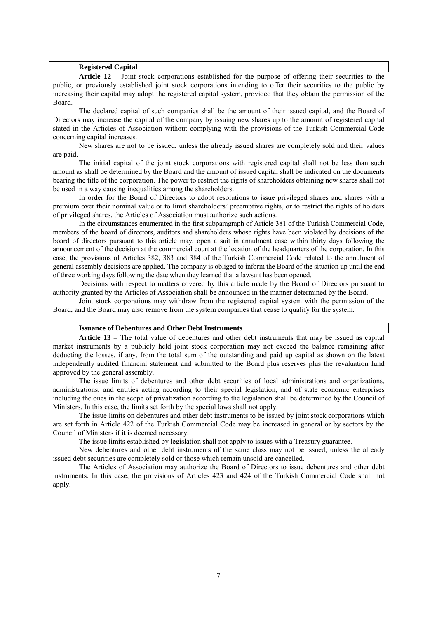#### **Registered Capital**

 **Article 12 –** Joint stock corporations established for the purpose of offering their securities to the public, or previously established joint stock corporations intending to offer their securities to the public by increasing their capital may adopt the registered capital system, provided that they obtain the permission of the Board.

 The declared capital of such companies shall be the amount of their issued capital, and the Board of Directors may increase the capital of the company by issuing new shares up to the amount of registered capital stated in the Articles of Association without complying with the provisions of the Turkish Commercial Code concerning capital increases.

New shares are not to be issued, unless the already issued shares are completely sold and their values are paid.

 The initial capital of the joint stock corporations with registered capital shall not be less than such amount as shall be determined by the Board and the amount of issued capital shall be indicated on the documents bearing the title of the corporation. The power to restrict the rights of shareholders obtaining new shares shall not be used in a way causing inequalities among the shareholders.

In order for the Board of Directors to adopt resolutions to issue privileged shares and shares with a premium over their nominal value or to limit shareholders' preemptive rights, or to restrict the rights of holders of privileged shares, the Articles of Association must authorize such actions.

In the circumstances enumerated in the first subparagraph of Article 381 of the Turkish Commercial Code, members of the board of directors, auditors and shareholders whose rights have been violated by decisions of the board of directors pursuant to this article may, open a suit in annulment case within thirty days following the announcement of the decision at the commercial court at the location of the headquarters of the corporation. In this case, the provisions of Articles 382, 383 and 384 of the Turkish Commercial Code related to the annulment of general assembly decisions are applied. The company is obliged to inform the Board of the situation up until the end of three working days following the date when they learned that a lawsuit has been opened.

 Decisions with respect to matters covered by this article made by the Board of Directors pursuant to authority granted by the Articles of Association shall be announced in the manner determined by the Board.

 Joint stock corporations may withdraw from the registered capital system with the permission of the Board, and the Board may also remove from the system companies that cease to qualify for the system.

### **Issuance of Debentures and Other Debt Instruments**

 **Article 13 –** The total value of debentures and other debt instruments that may be issued as capital market instruments by a publicly held joint stock corporation may not exceed the balance remaining after deducting the losses, if any, from the total sum of the outstanding and paid up capital as shown on the latest independently audited financial statement and submitted to the Board plus reserves plus the revaluation fund approved by the general assembly.

 The issue limits of debentures and other debt securities of local administrations and organizations, administrations, and entities acting according to their special legislation, and of state economic enterprises including the ones in the scope of privatization according to the legislation shall be determined by the Council of Ministers. In this case, the limits set forth by the special laws shall not apply.

 The issue limits on debentures and other debt instruments to be issued by joint stock corporations which are set forth in Article 422 of the Turkish Commercial Code may be increased in general or by sectors by the Council of Ministers if it is deemed necessary.

The issue limits established by legislation shall not apply to issues with a Treasury guarantee.

 New debentures and other debt instruments of the same class may not be issued, unless the already issued debt securities are completely sold or those which remain unsold are cancelled.

 The Articles of Association may authorize the Board of Directors to issue debentures and other debt instruments. In this case, the provisions of Articles 423 and 424 of the Turkish Commercial Code shall not apply.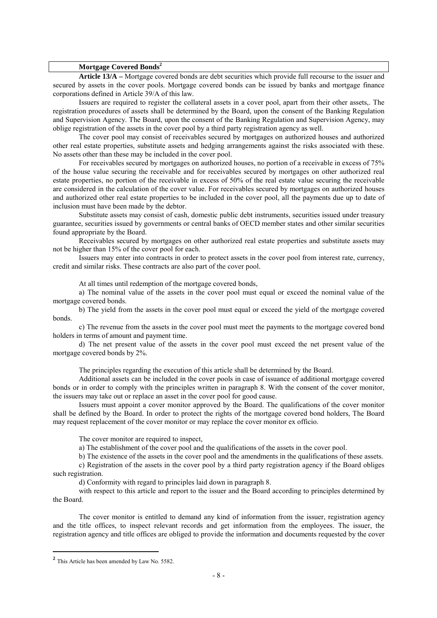### **Mortgage Covered Bonds<sup>2</sup>**

 **Article 13/A –** Mortgage covered bonds are debt securities which provide full recourse to the issuer and secured by assets in the cover pools. Mortgage covered bonds can be issued by banks and mortgage finance corporations defined in Article 39/A of this law.

Issuers are required to register the collateral assets in a cover pool, apart from their other assets,. The registration procedures of assets shall be determined by the Board, upon the consent of the Banking Regulation and Supervision Agency. The Board, upon the consent of the Banking Regulation and Supervision Agency, may oblige registration of the assets in the cover pool by a third party registration agency as well.

The cover pool may consist of receivables secured by mortgages on authorized houses and authorized other real estate properties, substitute assets and hedging arrangements against the risks associated with these. No assets other than these may be included in the cover pool.

For receivables secured by mortgages on authorized houses, no portion of a receivable in excess of 75% of the house value securing the receivable and for receivables secured by mortgages on other authorized real estate properties, no portion of the receivable in excess of 50% of the real estate value securing the receivable are considered in the calculation of the cover value. For receivables secured by mortgages on authorized houses and authorized other real estate properties to be included in the cover pool, all the payments due up to date of inclusion must have been made by the debtor.

Substitute assets may consist of cash, domestic public debt instruments, securities issued under treasury guarantee, securities issued by governments or central banks of OECD member states and other similar securities found appropriate by the Board.

Receivables secured by mortgages on other authorized real estate properties and substitute assets may not be higher than 15% of the cover pool for each.

Issuers may enter into contracts in order to protect assets in the cover pool from interest rate, currency, credit and similar risks. These contracts are also part of the cover pool.

At all times until redemption of the mortgage covered bonds,

a) The nominal value of the assets in the cover pool must equal or exceed the nominal value of the mortgage covered bonds.

b) The yield from the assets in the cover pool must equal or exceed the yield of the mortgage covered bonds.

c) The revenue from the assets in the cover pool must meet the payments to the mortgage covered bond holders in terms of amount and payment time.

d) The net present value of the assets in the cover pool must exceed the net present value of the mortgage covered bonds by 2%.

The principles regarding the execution of this article shall be determined by the Board.

Additional assets can be included in the cover pools in case of issuance of additional mortgage covered bonds or in order to comply with the principles written in paragraph 8. With the consent of the cover monitor, the issuers may take out or replace an asset in the cover pool for good cause.

Issuers must appoint a cover monitor approved by the Board. The qualifications of the cover monitor shall be defined by the Board. In order to protect the rights of the mortgage covered bond holders, The Board may request replacement of the cover monitor or may replace the cover monitor ex officio.

The cover monitor are required to inspect.

a) The establishment of the cover pool and the qualifications of the assets in the cover pool.

b) The existence of the assets in the cover pool and the amendments in the qualifications of these assets.

c) Registration of the assets in the cover pool by a third party registration agency if the Board obliges such registration.

d) Conformity with regard to principles laid down in paragraph 8.

with respect to this article and report to the issuer and the Board according to principles determined by the Board.

The cover monitor is entitled to demand any kind of information from the issuer, registration agency and the title offices, to inspect relevant records and get information from the employees. The issuer, the registration agency and title offices are obliged to provide the information and documents requested by the cover

**<sup>2</sup>** This Article has been amended by Law No. 5582.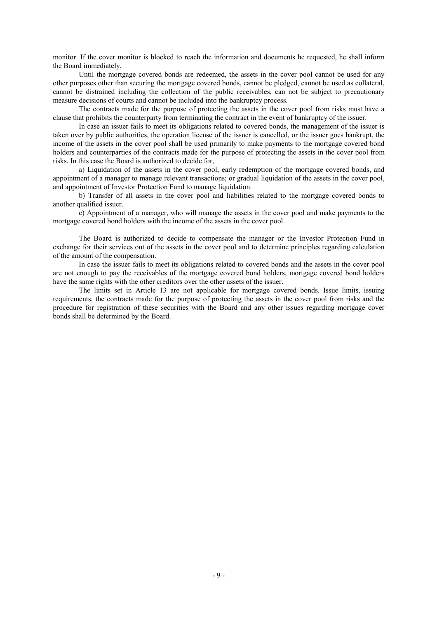monitor. If the cover monitor is blocked to reach the information and documents he requested, he shall inform the Board immediately.

Until the mortgage covered bonds are redeemed, the assets in the cover pool cannot be used for any other purposes other than securing the mortgage covered bonds, cannot be pledged, cannot be used as collateral, cannot be distrained including the collection of the public receivables, can not be subject to precautionary measure decisions of courts and cannot be included into the bankruptcy process.

The contracts made for the purpose of protecting the assets in the cover pool from risks must have a clause that prohibits the counterparty from terminating the contract in the event of bankruptcy of the issuer.

In case an issuer fails to meet its obligations related to covered bonds, the management of the issuer is taken over by public authorities, the operation license of the issuer is cancelled, or the issuer goes bankrupt, the income of the assets in the cover pool shall be used primarily to make payments to the mortgage covered bond holders and counterparties of the contracts made for the purpose of protecting the assets in the cover pool from risks. In this case the Board is authorized to decide for,

a) Liquidation of the assets in the cover pool, early redemption of the mortgage covered bonds, and appointment of a manager to manage relevant transactions; or gradual liquidation of the assets in the cover pool, and appointment of Investor Protection Fund to manage liquidation.

b) Transfer of all assets in the cover pool and liabilities related to the mortgage covered bonds to another qualified issuer.

c) Appointment of a manager, who will manage the assets in the cover pool and make payments to the mortgage covered bond holders with the income of the assets in the cover pool.

The Board is authorized to decide to compensate the manager or the Investor Protection Fund in exchange for their services out of the assets in the cover pool and to determine principles regarding calculation of the amount of the compensation.

In case the issuer fails to meet its obligations related to covered bonds and the assets in the cover pool are not enough to pay the receivables of the mortgage covered bond holders, mortgage covered bond holders have the same rights with the other creditors over the other assets of the issuer.

The limits set in Article 13 are not applicable for mortgage covered bonds. Issue limits, issuing requirements, the contracts made for the purpose of protecting the assets in the cover pool from risks and the procedure for registration of these securities with the Board and any other issues regarding mortgage cover bonds shall be determined by the Board.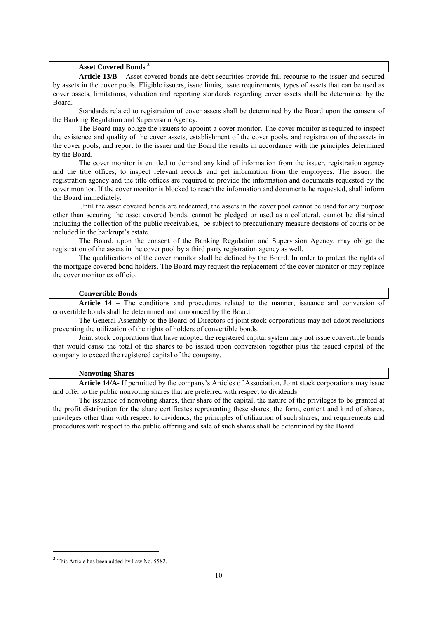#### **Asset Covered Bonds <sup>3</sup>**

**Article 13/B** – Asset covered bonds are debt securities provide full recourse to the issuer and secured by assets in the cover pools. Eligible issuers, issue limits, issue requirements, types of assets that can be used as cover assets, limitations, valuation and reporting standards regarding cover assets shall be determined by the Board.

 Standards related to registration of cover assets shall be determined by the Board upon the consent of the Banking Regulation and Supervision Agency.

 The Board may oblige the issuers to appoint a cover monitor. The cover monitor is required to inspect the existence and quality of the cover assets, establishment of the cover pools, and registration of the assets in the cover pools, and report to the issuer and the Board the results in accordance with the principles determined by the Board.

 The cover monitor is entitled to demand any kind of information from the issuer, registration agency and the title offices, to inspect relevant records and get information from the employees. The issuer, the registration agency and the title offices are required to provide the information and documents requested by the cover monitor. If the cover monitor is blocked to reach the information and documents he requested, shall inform the Board immediately.

 Until the asset covered bonds are redeemed, the assets in the cover pool cannot be used for any purpose other than securing the asset covered bonds, cannot be pledged or used as a collateral, cannot be distrained including the collection of the public receivables, be subject to precautionary measure decisions of courts or be included in the bankrupt's estate.

 The Board, upon the consent of the Banking Regulation and Supervision Agency, may oblige the registration of the assets in the cover pool by a third party registration agency as well.

 The qualifications of the cover monitor shall be defined by the Board. In order to protect the rights of the mortgage covered bond holders, The Board may request the replacement of the cover monitor or may replace the cover monitor ex officio.

### **Convertible Bonds**

 **Article 14 –** The conditions and procedures related to the manner, issuance and conversion of convertible bonds shall be determined and announced by the Board.

 The General Assembly or the Board of Directors of joint stock corporations may not adopt resolutions preventing the utilization of the rights of holders of convertible bonds.

 Joint stock corporations that have adopted the registered capital system may not issue convertible bonds that would cause the total of the shares to be issued upon conversion together plus the issued capital of the company to exceed the registered capital of the company.

### **Nonvoting Shares**

 **Article 14/A-** If permitted by the company's Articles of Association, Joint stock corporations may issue and offer to the public nonvoting shares that are preferred with respect to dividends.

 The issuance of nonvoting shares, their share of the capital, the nature of the privileges to be granted at the profit distribution for the share certificates representing these shares, the form, content and kind of shares, privileges other than with respect to dividends, the principles of utilization of such shares, and requirements and procedures with respect to the public offering and sale of such shares shall be determined by the Board.

**<sup>3</sup>** This Article has been added by Law No. 5582.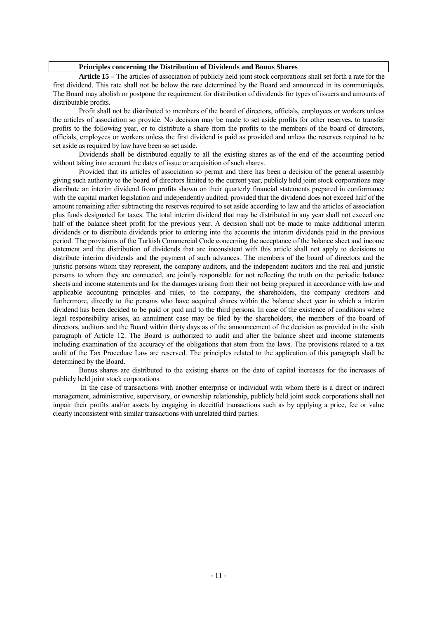#### **Principles concerning the Distribution of Dividends and Bonus Shares**

 **Article 15 –** The articles of association of publicly held joint stock corporations shall set forth a rate for the first dividend. This rate shall not be below the rate determined by the Board and announced in its communiqués. The Board may abolish or postpone the requirement for distribution of dividends for types of issuers and amounts of distributable profits.

 Profit shall not be distributed to members of the board of directors, officials, employees or workers unless the articles of association so provide. No decision may be made to set aside profits for other reserves, to transfer profits to the following year, or to distribute a share from the profits to the members of the board of directors, officials, employees or workers unless the first dividend is paid as provided and unless the reserves required to be set aside as required by law have been so set aside.

 Dividends shall be distributed equally to all the existing shares as of the end of the accounting period without taking into account the dates of issue or acquisition of such shares.

 Provided that its articles of association so permit and there has been a decision of the general assembly giving such authority to the board of directors limited to the current year, publicly held joint stock corporations may distribute an interim dividend from profits shown on their quarterly financial statements prepared in conformance with the capital market legislation and independently audited, provided that the dividend does not exceed half of the amount remaining after subtracting the reserves required to set aside according to law and the articles of association plus funds designated for taxes. The total interim dividend that may be distributed in any year shall not exceed one half of the balance sheet profit for the previous year. A decision shall not be made to make additional interim dividends or to distribute dividends prior to entering into the accounts the interim dividends paid in the previous period. The provisions of the Turkish Commercial Code concerning the acceptance of the balance sheet and income statement and the distribution of dividends that are inconsistent with this article shall not apply to decisions to distribute interim dividends and the payment of such advances. The members of the board of directors and the juristic persons whom they represent, the company auditors, and the independent auditors and the real and juristic persons to whom they are connected, are jointly responsible for not reflecting the truth on the periodic balance sheets and income statements and for the damages arising from their not being prepared in accordance with law and applicable accounting principles and rules, to the company, the shareholders, the company creditors and furthermore, directly to the persons who have acquired shares within the balance sheet year in which a interim dividend has been decided to be paid or paid and to the third persons. In case of the existence of conditions where legal responsibility arises, an annulment case may be filed by the shareholders, the members of the board of directors, auditors and the Board within thirty days as of the announcement of the decision as provided in the sixth paragraph of Article 12. The Board is authorized to audit and alter the balance sheet and income statements including examination of the accuracy of the obligations that stem from the laws. The provisions related to a tax audit of the Tax Procedure Law are reserved. The principles related to the application of this paragraph shall be determined by the Board.

 Bonus shares are distributed to the existing shares on the date of capital increases for the increases of publicly held joint stock corporations.

 In the case of transactions with another enterprise or individual with whom there is a direct or indirect management, administrative, supervisory, or ownership relationship, publicly held joint stock corporations shall not impair their profits and/or assets by engaging in deceitful transactions such as by applying a price, fee or value clearly inconsistent with similar transactions with unrelated third parties.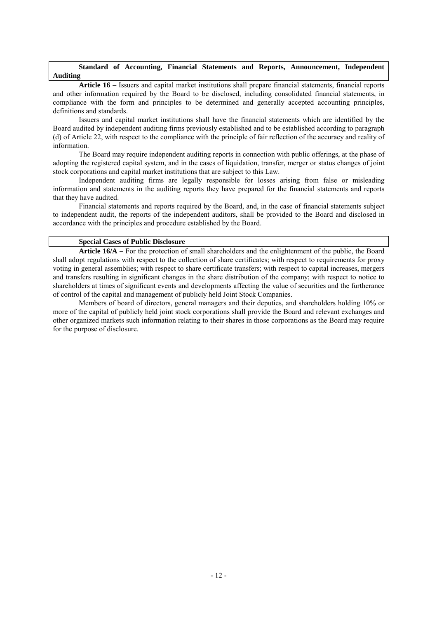### **Standard of Accounting, Financial Statements and Reports, Announcement, Independent Auditing**

 **Article 16 –** Issuers and capital market institutions shall prepare financial statements, financial reports and other information required by the Board to be disclosed, including consolidated financial statements, in compliance with the form and principles to be determined and generally accepted accounting principles, definitions and standards.

 Issuers and capital market institutions shall have the financial statements which are identified by the Board audited by independent auditing firms previously established and to be established according to paragraph (d) of Article 22, with respect to the compliance with the principle of fair reflection of the accuracy and reality of information.

 The Board may require independent auditing reports in connection with public offerings, at the phase of adopting the registered capital system, and in the cases of liquidation, transfer, merger or status changes of joint stock corporations and capital market institutions that are subject to this Law.

 Independent auditing firms are legally responsible for losses arising from false or misleading information and statements in the auditing reports they have prepared for the financial statements and reports that they have audited.

 Financial statements and reports required by the Board, and, in the case of financial statements subject to independent audit, the reports of the independent auditors, shall be provided to the Board and disclosed in accordance with the principles and procedure established by the Board.

### **Special Cases of Public Disclosure**

 **Article 16/A –** For the protection of small shareholders and the enlightenment of the public, the Board shall adopt regulations with respect to the collection of share certificates; with respect to requirements for proxy voting in general assemblies; with respect to share certificate transfers; with respect to capital increases, mergers and transfers resulting in significant changes in the share distribution of the company; with respect to notice to shareholders at times of significant events and developments affecting the value of securities and the furtherance of control of the capital and management of publicly held Joint Stock Companies.

 Members of board of directors, general managers and their deputies, and shareholders holding 10% or more of the capital of publicly held joint stock corporations shall provide the Board and relevant exchanges and other organized markets such information relating to their shares in those corporations as the Board may require for the purpose of disclosure.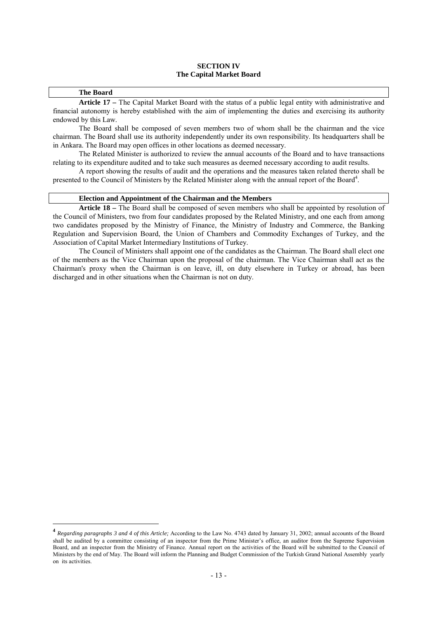### **SECTION IV The Capital Market Board**

### **The Board**

 **Article 17 –** The Capital Market Board with the status of a public legal entity with administrative and financial autonomy is hereby established with the aim of implementing the duties and exercising its authority endowed by this Law.

The Board shall be composed of seven members two of whom shall be the chairman and the vice chairman. The Board shall use its authority independently under its own responsibility. Its headquarters shall be in Ankara. The Board may open offices in other locations as deemed necessary.

 The Related Minister is authorized to review the annual accounts of the Board and to have transactions relating to its expenditure audited and to take such measures as deemed necessary according to audit results.

 A report showing the results of audit and the operations and the measures taken related thereto shall be presented to the Council of Ministers by the Related Minister along with the annual report of the Board<sup>4</sup>.

### **Election and Appointment of the Chairman and the Members**

 **Article 18 –** The Board shall be composed of seven members who shall be appointed by resolution of the Council of Ministers, two from four candidates proposed by the Related Ministry, and one each from among two candidates proposed by the Ministry of Finance, the Ministry of Industry and Commerce, the Banking Regulation and Supervision Board, the Union of Chambers and Commodity Exchanges of Turkey, and the Association of Capital Market Intermediary Institutions of Turkey.

 The Council of Ministers shall appoint one of the candidates as the Chairman. The Board shall elect one of the members as the Vice Chairman upon the proposal of the chairman. The Vice Chairman shall act as the Chairman's proxy when the Chairman is on leave, ill, on duty elsewhere in Turkey or abroad, has been discharged and in other situations when the Chairman is not on duty.

**<sup>4</sup>** *Regarding paragraphs 3 and 4 of this Article;* According to the Law No. 4743 dated by January 31, 2002; annual accounts of the Board shall be audited by a committee consisting of an inspector from the Prime Minister's office, an auditor from the Supreme Supervision Board, and an inspector from the Ministry of Finance. Annual report on the activities of the Board will be submitted to the Council of Ministers by the end of May. The Board will inform the Planning and Budget Commission of the Turkish Grand National Assembly yearly on its activities.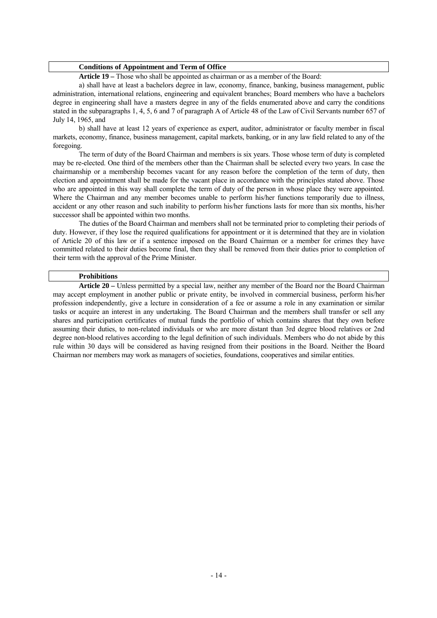#### **Conditions of Appointment and Term of Office**

 **Article 19 –** Those who shall be appointed as chairman or as a member of the Board:

 a) shall have at least a bachelors degree in law, economy, finance, banking, business management, public administration, international relations, engineering and equivalent branches; Board members who have a bachelors degree in engineering shall have a masters degree in any of the fields enumerated above and carry the conditions stated in the subparagraphs 1, 4, 5, 6 and 7 of paragraph A of Article 48 of the Law of Civil Servants number 657 of July 14, 1965, and

 b) shall have at least 12 years of experience as expert, auditor, administrator or faculty member in fiscal markets, economy, finance, business management, capital markets, banking, or in any law field related to any of the foregoing.

The term of duty of the Board Chairman and members is six years. Those whose term of duty is completed may be re-elected. One third of the members other than the Chairman shall be selected every two years. In case the chairmanship or a membership becomes vacant for any reason before the completion of the term of duty, then election and appointment shall be made for the vacant place in accordance with the principles stated above. Those who are appointed in this way shall complete the term of duty of the person in whose place they were appointed. Where the Chairman and any member becomes unable to perform his/her functions temporarily due to illness, accident or any other reason and such inability to perform his/her functions lasts for more than six months, his/her successor shall be appointed within two months.

 The duties of the Board Chairman and members shall not be terminated prior to completing their periods of duty. However, if they lose the required qualifications for appointment or it is determined that they are in violation of Article 20 of this law or if a sentence imposed on the Board Chairman or a member for crimes they have committed related to their duties become final, then they shall be removed from their duties prior to completion of their term with the approval of the Prime Minister.

#### **Prohibitions**

 **Article 20 –** Unless permitted by a special law, neither any member of the Board nor the Board Chairman may accept employment in another public or private entity, be involved in commercial business, perform his/her profession independently, give a lecture in consideration of a fee or assume a role in any examination or similar tasks or acquire an interest in any undertaking. The Board Chairman and the members shall transfer or sell any shares and participation certificates of mutual funds the portfolio of which contains shares that they own before assuming their duties, to non-related individuals or who are more distant than 3rd degree blood relatives or 2nd degree non-blood relatives according to the legal definition of such individuals. Members who do not abide by this rule within 30 days will be considered as having resigned from their positions in the Board. Neither the Board Chairman nor members may work as managers of societies, foundations, cooperatives and similar entities.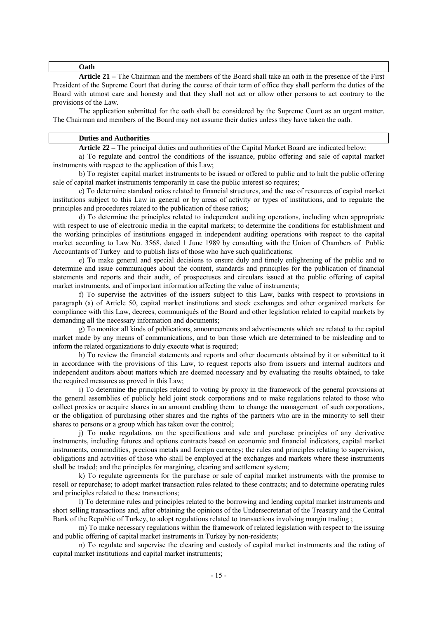#### **Oath**

 **Article 21 –** The Chairman and the members of the Board shall take an oath in the presence of the First President of the Supreme Court that during the course of their term of office they shall perform the duties of the Board with utmost care and honesty and that they shall not act or allow other persons to act contrary to the provisions of the Law.

 The application submitted for the oath shall be considered by the Supreme Court as an urgent matter. The Chairman and members of the Board may not assume their duties unless they have taken the oath.

#### **Duties and Authorities**

 **Article 22 –** The principal duties and authorities of the Capital Market Board are indicated below:

 a) To regulate and control the conditions of the issuance, public offering and sale of capital market instruments with respect to the application of this Law;

 b) To register capital market instruments to be issued or offered to public and to halt the public offering sale of capital market instruments temporarily in case the public interest so requires;

 c) To determine standard ratios related to financial structures, and the use of resources of capital market institutions subject to this Law in general or by areas of activity or types of institutions, and to regulate the principles and procedures related to the publication of these ratios;

d) To determine the principles related to independent auditing operations, including when appropriate with respect to use of electronic media in the capital markets; to determine the conditions for establishment and the working principles of institutions engaged in independent auditing operations with respect to the capital market according to Law No. 3568, dated 1 June 1989 by consulting with the Union of Chambers of Public Accountants of Turkey and to publish lists of those who have such qualifications;

 e) To make general and special decisions to ensure duly and timely enlightening of the public and to determine and issue communiqués about the content, standards and principles for the publication of financial statements and reports and their audit, of prospectuses and circulars issued at the public offering of capital market instruments, and of important information affecting the value of instruments;

 f) To supervise the activities of the issuers subject to this Law, banks with respect to provisions in paragraph (a) of Article 50, capital market institutions and stock exchanges and other organized markets for compliance with this Law, decrees, communiqués of the Board and other legislation related to capital markets by demanding all the necessary information and documents;

g) To monitor all kinds of publications, announcements and advertisements which are related to the capital market made by any means of communications, and to ban those which are determined to be misleading and to inform the related organizations to duly execute what is required;

h) To review the financial statements and reports and other documents obtained by it or submitted to it in accordance with the provisions of this Law, to request reports also from issuers and internal auditors and independent auditors about matters which are deemed necessary and by evaluating the results obtained, to take the required measures as proved in this Law;

i) To determine the principles related to voting by proxy in the framework of the general provisions at the general assemblies of publicly held joint stock corporations and to make regulations related to those who collect proxies or acquire shares in an amount enabling them to change the management of such corporations, or the obligation of purchasing other shares and the rights of the partners who are in the minority to sell their shares to persons or a group which has taken over the control;

j) To make regulations on the specifications and sale and purchase principles of any derivative instruments, including futures and options contracts based on economic and financial indicators, capital market instruments, commodities, precious metals and foreign currency; the rules and principles relating to supervision, obligations and activities of those who shall be employed at the exchanges and markets where these instruments shall be traded; and the principles for margining, clearing and settlement system;

k) To regulate agreements for the purchase or sale of capital market instruments with the promise to resell or repurchase; to adopt market transaction rules related to these contracts; and to determine operating rules and principles related to these transactions;

l) To determine rules and principles related to the borrowing and lending capital market instruments and short selling transactions and, after obtaining the opinions of the Undersecretariat of the Treasury and the Central Bank of the Republic of Turkey, to adopt regulations related to transactions involving margin trading ;

 m) To make necessary regulations within the framework of related legislation with respect to the issuing and public offering of capital market instruments in Turkey by non-residents;

n) To regulate and supervise the clearing and custody of capital market instruments and the rating of capital market institutions and capital market instruments;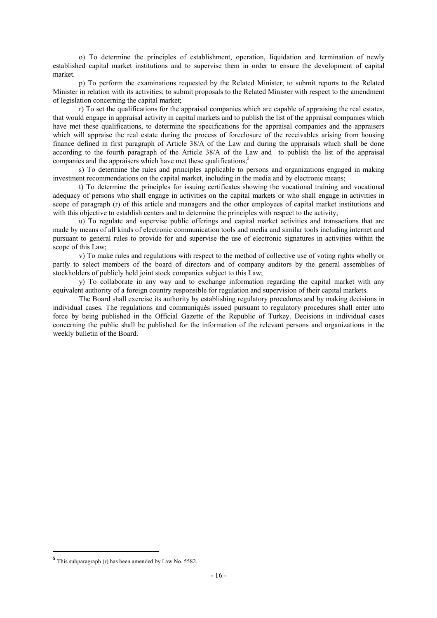o) To determine the principles of establishment, operation, liquidation and termination of newly established capital market institutions and to supervise them in order to ensure the development of capital market.

 p) To perform the examinations requested by the Related Minister; to submit reports to the Related Minister in relation with its activities; to submit proposals to the Related Minister with respect to the amendment of legislation concerning the capital market;

r) To set the qualifications for the appraisal companies which are capable of appraising the real estates, that would engage in appraisal activity in capital markets and to publish the list of the appraisal companies which have met these qualifications, to determine the specifications for the appraisal companies and the appraisers which will appraise the real estate during the process of foreclosure of the receivables arising from housing finance defined in first paragraph of Article 38/A of the Law and during the appraisals which shall be done according to the fourth paragraph of the Article 38/A of the Law and to publish the list of the appraisal companies and the appraisers which have met these qualifications;<sup>5</sup>

s) To determine the rules and principles applicable to persons and organizations engaged in making investment recommendations on the capital market, including in the media and by electronic means;

t) To determine the principles for issuing certificates showing the vocational training and vocational adequacy of persons who shall engage in activities on the capital markets or who shall engage in activities in scope of paragraph (r) of this article and managers and the other employees of capital market institutions and with this objective to establish centers and to determine the principles with respect to the activity;

u) To regulate and supervise public offerings and capital market activities and transactions that are made by means of all kinds of electronic communication tools and media and similar tools including internet and pursuant to general rules to provide for and supervise the use of electronic signatures in activities within the scope of this Law;

v) To make rules and regulations with respect to the method of collective use of voting rights wholly or partly to select members of the board of directors and of company auditors by the general assemblies of stockholders of publicly held joint stock companies subject to this Law;

y) To collaborate in any way and to exchange information regarding the capital market with any equivalent authority of a foreign country responsible for regulation and supervision of their capital markets.

 The Board shall exercise its authority by establishing regulatory procedures and by making decisions in individual cases. The regulations and communiqués issued pursuant to regulatory procedures shall enter into force by being published in the Official Gazette of the Republic of Turkey. Decisions in individual cases concerning the public shall be published for the information of the relevant persons and organizations in the weekly bulletin of the Board.

**<sup>5</sup>** This subparagraph (r) has been amended by Law No. 5582.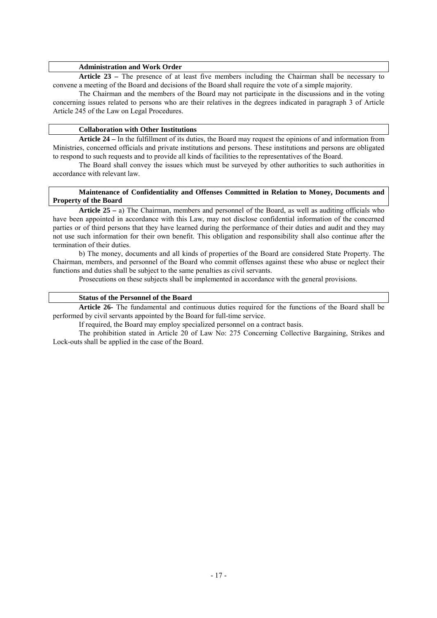### **Administration and Work Order**

 **Article 23 –** The presence of at least five members including the Chairman shall be necessary to convene a meeting of the Board and decisions of the Board shall require the vote of a simple majority.

 The Chairman and the members of the Board may not participate in the discussions and in the voting concerning issues related to persons who are their relatives in the degrees indicated in paragraph 3 of Article Article 245 of the Law on Legal Procedures.

#### **Collaboration with Other Institutions**

 **Article 24 –** In the fulfillment of its duties, the Board may request the opinions of and information from Ministries, concerned officials and private institutions and persons. These institutions and persons are obligated to respond to such requests and to provide all kinds of facilities to the representatives of the Board.

 The Board shall convey the issues which must be surveyed by other authorities to such authorities in accordance with relevant law.

### **Maintenance of Confidentiality and Offenses Committed in Relation to Money, Documents and Property of the Board**

 **Article 25 –** a) The Chairman, members and personnel of the Board, as well as auditing officials who have been appointed in accordance with this Law, may not disclose confidential information of the concerned parties or of third persons that they have learned during the performance of their duties and audit and they may not use such information for their own benefit. This obligation and responsibility shall also continue after the termination of their duties.

 b) The money, documents and all kinds of properties of the Board are considered State Property. The Chairman, members, and personnel of the Board who commit offenses against these who abuse or neglect their functions and duties shall be subject to the same penalties as civil servants.

Prosecutions on these subjects shall be implemented in accordance with the general provisions.

## **Status of the Personnel of the Board**

 **Article 26-** The fundamental and continuous duties required for the functions of the Board shall be performed by civil servants appointed by the Board for full-time service.

If required, the Board may employ specialized personnel on a contract basis.

 The prohibition stated in Article 20 of Law No: 275 Concerning Collective Bargaining, Strikes and Lock-outs shall be applied in the case of the Board.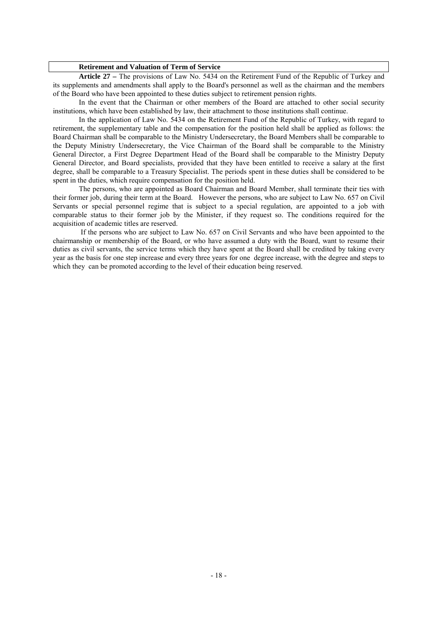#### **Retirement and Valuation of Term of Service**

 **Article 27 –** The provisions of Law No. 5434 on the Retirement Fund of the Republic of Turkey and its supplements and amendments shall apply to the Board's personnel as well as the chairman and the members of the Board who have been appointed to these duties subject to retirement pension rights.

 In the event that the Chairman or other members of the Board are attached to other social security institutions, which have been established by law, their attachment to those institutions shall continue.

 In the application of Law No. 5434 on the Retirement Fund of the Republic of Turkey, with regard to retirement, the supplementary table and the compensation for the position held shall be applied as follows: the Board Chairman shall be comparable to the Ministry Undersecretary, the Board Members shall be comparable to the Deputy Ministry Undersecretary, the Vice Chairman of the Board shall be comparable to the Ministry General Director, a First Degree Department Head of the Board shall be comparable to the Ministry Deputy General Director, and Board specialists, provided that they have been entitled to receive a salary at the first degree, shall be comparable to a Treasury Specialist. The periods spent in these duties shall be considered to be spent in the duties, which require compensation for the position held.

 The persons, who are appointed as Board Chairman and Board Member, shall terminate their ties with their former job, during their term at the Board. However the persons, who are subject to Law No. 657 on Civil Servants or special personnel regime that is subject to a special regulation, are appointed to a job with comparable status to their former job by the Minister, if they request so. The conditions required for the acquisition of academic titles are reserved.

 If the persons who are subject to Law No. 657 on Civil Servants and who have been appointed to the chairmanship or membership of the Board, or who have assumed a duty with the Board, want to resume their duties as civil servants, the service terms which they have spent at the Board shall be credited by taking every year as the basis for one step increase and every three years for one degree increase, with the degree and steps to which they can be promoted according to the level of their education being reserved.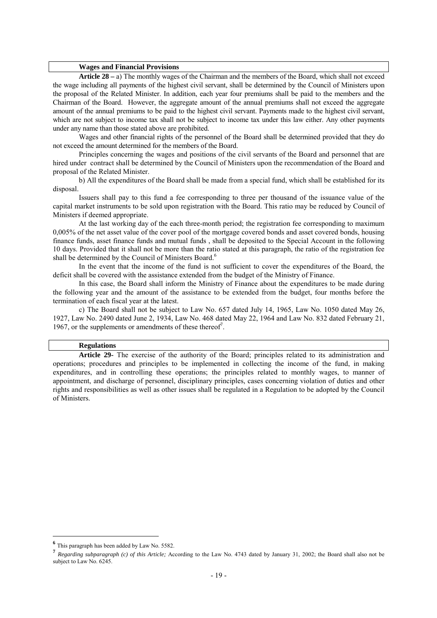#### **Wages and Financial Provisions**

 **Article 28 –** a) The monthly wages of the Chairman and the members of the Board, which shall not exceed the wage including all payments of the highest civil servant, shall be determined by the Council of Ministers upon the proposal of the Related Minister. In addition, each year four premiums shall be paid to the members and the Chairman of the Board. However, the aggregate amount of the annual premiums shall not exceed the aggregate amount of the annual premiums to be paid to the highest civil servant. Payments made to the highest civil servant, which are not subject to income tax shall not be subject to income tax under this law either. Any other payments under any name than those stated above are prohibited.

 Wages and other financial rights of the personnel of the Board shall be determined provided that they do not exceed the amount determined for the members of the Board.

 Principles concerning the wages and positions of the civil servants of the Board and personnel that are hired under contract shall be determined by the Council of Ministers upon the recommendation of the Board and proposal of the Related Minister.

 b) All the expenditures of the Board shall be made from a special fund, which shall be established for its disposal.

 Issuers shall pay to this fund a fee corresponding to three per thousand of the issuance value of the capital market instruments to be sold upon registration with the Board. This ratio may be reduced by Council of Ministers if deemed appropriate.

At the last working day of the each three-month period; the registration fee corresponding to maximum 0,005% of the net asset value of the cover pool of the mortgage covered bonds and asset covered bonds, housing finance funds, asset finance funds and mutual funds , shall be deposited to the Special Account in the following 10 days. Provided that it shall not be more than the ratio stated at this paragraph, the ratio of the registration fee shall be determined by the Council of Ministers Board.<sup>6</sup>

 In the event that the income of the fund is not sufficient to cover the expenditures of the Board, the deficit shall be covered with the assistance extended from the budget of the Ministry of Finance.

 In this case, the Board shall inform the Ministry of Finance about the expenditures to be made during the following year and the amount of the assistance to be extended from the budget, four months before the termination of each fiscal year at the latest.

 c) The Board shall not be subject to Law No. 657 dated July 14, 1965, Law No. 1050 dated May 26, 1927, Law No. 2490 dated June 2, 1934, Law No. 468 dated May 22, 1964 and Law No. 832 dated February 21, 1967, or the supplements or amendments of these thereof<sup>7</sup>.

#### **Regulations**

 **Article 29-** The exercise of the authority of the Board; principles related to its administration and operations; procedures and principles to be implemented in collecting the income of the fund, in making expenditures, and in controlling these operations; the principles related to monthly wages, to manner of appointment, and discharge of personnel, disciplinary principles, cases concerning violation of duties and other rights and responsibilities as well as other issues shall be regulated in a Regulation to be adopted by the Council of Ministers.

**<sup>6</sup>** This paragraph has been added by Law No. 5582.

**<sup>7</sup>** *Regarding subparagraph (c) of this Article;* According to the Law No. 4743 dated by January 31, 2002; the Board shall also not be subject to Law No. 6245.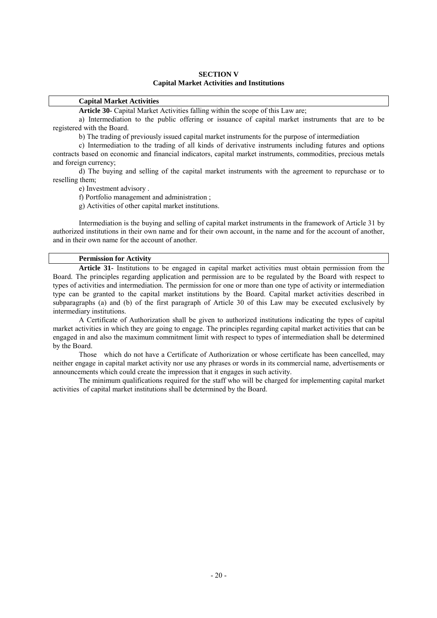### **SECTION V Capital Market Activities and Institutions**

### **Capital Market Activities**

 **Article 30-** Capital Market Activities falling within the scope of this Law are;

 a) Intermediation to the public offering or issuance of capital market instruments that are to be registered with the Board.

b) The trading of previously issued capital market instruments for the purpose of intermediation

c) Intermediation to the trading of all kinds of derivative instruments including futures and options contracts based on economic and financial indicators, capital market instruments, commodities, precious metals and foreign currency;

d) The buying and selling of the capital market instruments with the agreement to repurchase or to reselling them;

e) Investment advisory .

f) Portfolio management and administration ;

g) Activities of other capital market institutions.

Intermediation is the buying and selling of capital market instruments in the framework of Article 31 by authorized institutions in their own name and for their own account, in the name and for the account of another, and in their own name for the account of another.

### **Permission for Activity**

 **Article 31-** Institutions to be engaged in capital market activities must obtain permission from the Board. The principles regarding application and permission are to be regulated by the Board with respect to types of activities and intermediation. The permission for one or more than one type of activity or intermediation type can be granted to the capital market institutions by the Board. Capital market activities described in subparagraphs (a) and (b) of the first paragraph of Article 30 of this Law may be executed exclusively by intermediary institutions.

 A Certificate of Authorization shall be given to authorized institutions indicating the types of capital market activities in which they are going to engage. The principles regarding capital market activities that can be engaged in and also the maximum commitment limit with respect to types of intermediation shall be determined by the Board.

 Those which do not have a Certificate of Authorization or whose certificate has been cancelled, may neither engage in capital market activity nor use any phrases or words in its commercial name, advertisements or announcements which could create the impression that it engages in such activity.

 The minimum qualifications required for the staff who will be charged for implementing capital market activities of capital market institutions shall be determined by the Board.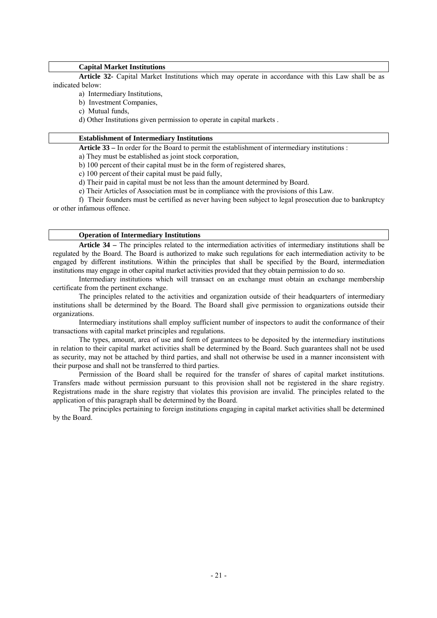### **Capital Market Institutions**

 **Article 32-** Capital Market Institutions which may operate in accordance with this Law shall be as indicated below:

- a) Intermediary Institutions,
- b) Investment Companies,

c) Mutual funds,

d) Other Institutions given permission to operate in capital markets .

#### **Establishment of Intermediary Institutions**

 **Article 33 –** In order for the Board to permit the establishment of intermediary institutions :

a) They must be established as joint stock corporation,

b) 100 percent of their capital must be in the form of registered shares,

c) 100 percent of their capital must be paid fully,

d) Their paid in capital must be not less than the amount determined by Board.

e) Their Articles of Association must be in compliance with the provisions of this Law.

 f) Their founders must be certified as never having been subject to legal prosecution due to bankruptcy or other infamous offence.

### **Operation of Intermediary Institutions**

**Article 34 –** The principles related to the intermediation activities of intermediary institutions shall be regulated by the Board. The Board is authorized to make such regulations for each intermediation activity to be engaged by different institutions. Within the principles that shall be specified by the Board, intermediation institutions may engage in other capital market activities provided that they obtain permission to do so.

 Intermediary institutions which will transact on an exchange must obtain an exchange membership certificate from the pertinent exchange.

 The principles related to the activities and organization outside of their headquarters of intermediary institutions shall be determined by the Board. The Board shall give permission to organizations outside their organizations.

 Intermediary institutions shall employ sufficient number of inspectors to audit the conformance of their transactions with capital market principles and regulations.

 The types, amount, area of use and form of guarantees to be deposited by the intermediary institutions in relation to their capital market activities shall be determined by the Board. Such guarantees shall not be used as security, may not be attached by third parties, and shall not otherwise be used in a manner inconsistent with their purpose and shall not be transferred to third parties.

 Permission of the Board shall be required for the transfer of shares of capital market institutions. Transfers made without permission pursuant to this provision shall not be registered in the share registry. Registrations made in the share registry that violates this provision are invalid. The principles related to the application of this paragraph shall be determined by the Board.

 The principles pertaining to foreign institutions engaging in capital market activities shall be determined by the Board.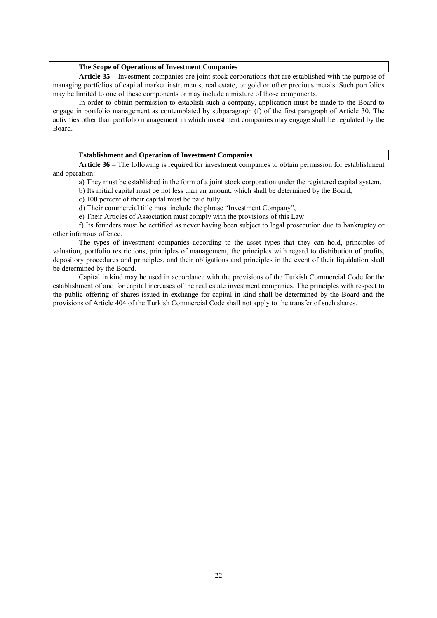### **The Scope of Operations of Investment Companies**

**Article 35 –** Investment companies are joint stock corporations that are established with the purpose of managing portfolios of capital market instruments, real estate, or gold or other precious metals. Such portfolios may be limited to one of these components or may include a mixture of those components.

In order to obtain permission to establish such a company, application must be made to the Board to engage in portfolio management as contemplated by subparagraph (f) of the first paragraph of Article 30. The activities other than portfolio management in which investment companies may engage shall be regulated by the Board.

#### **Establishment and Operation of Investment Companies**

 **Article 36 –** The following is required for investment companies to obtain permission for establishment and operation:

a) They must be established in the form of a joint stock corporation under the registered capital system,

- b) Its initial capital must be not less than an amount, which shall be determined by the Board,
- c) 100 percent of their capital must be paid fully .

d) Their commercial title must include the phrase "Investment Company",

e) Their Articles of Association must comply with the provisions of this Law

 f) Its founders must be certified as never having been subject to legal prosecution due to bankruptcy or other infamous offence.

 The types of investment companies according to the asset types that they can hold, principles of valuation, portfolio restrictions, principles of management, the principles with regard to distribution of profits, depository procedures and principles, and their obligations and principles in the event of their liquidation shall be determined by the Board.

 Capital in kind may be used in accordance with the provisions of the Turkish Commercial Code for the establishment of and for capital increases of the real estate investment companies. The principles with respect to the public offering of shares issued in exchange for capital in kind shall be determined by the Board and the provisions of Article 404 of the Turkish Commercial Code shall not apply to the transfer of such shares.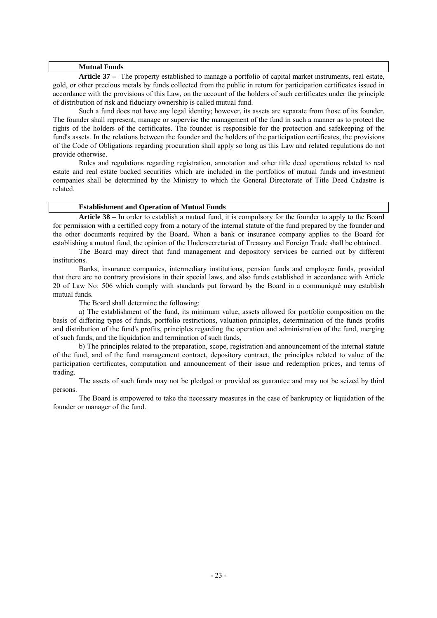#### **Mutual Funds**

 **Article 37 –** The property established to manage a portfolio of capital market instruments, real estate, gold, or other precious metals by funds collected from the public in return for participation certificates issued in accordance with the provisions of this Law, on the account of the holders of such certificates under the principle of distribution of risk and fiduciary ownership is called mutual fund.

 Such a fund does not have any legal identity; however, its assets are separate from those of its founder. The founder shall represent, manage or supervise the management of the fund in such a manner as to protect the rights of the holders of the certificates. The founder is responsible for the protection and safekeeping of the fund's assets. In the relations between the founder and the holders of the participation certificates, the provisions of the Code of Obligations regarding procuration shall apply so long as this Law and related regulations do not provide otherwise.

 Rules and regulations regarding registration, annotation and other title deed operations related to real estate and real estate backed securities which are included in the portfolios of mutual funds and investment companies shall be determined by the Ministry to which the General Directorate of Title Deed Cadastre is related.

### **Establishment and Operation of Mutual Funds**

 **Article 38 –** In order to establish a mutual fund, it is compulsory for the founder to apply to the Board for permission with a certified copy from a notary of the internal statute of the fund prepared by the founder and the other documents required by the Board. When a bank or insurance company applies to the Board for establishing a mutual fund, the opinion of the Undersecretariat of Treasury and Foreign Trade shall be obtained.

 The Board may direct that fund management and depository services be carried out by different institutions.

 Banks, insurance companies, intermediary institutions, pension funds and employee funds, provided that there are no contrary provisions in their special laws, and also funds established in accordance with Article 20 of Law No: 506 which comply with standards put forward by the Board in a communiqué may establish mutual funds.

The Board shall determine the following:

a) The establishment of the fund, its minimum value, assets allowed for portfolio composition on the basis of differing types of funds, portfolio restrictions, valuation principles, determination of the funds profits and distribution of the fund's profits, principles regarding the operation and administration of the fund, merging of such funds, and the liquidation and termination of such funds,

 b) The principles related to the preparation, scope, registration and announcement of the internal statute of the fund, and of the fund management contract, depository contract, the principles related to value of the participation certificates, computation and announcement of their issue and redemption prices, and terms of trading.

 The assets of such funds may not be pledged or provided as guarantee and may not be seized by third persons.

 The Board is empowered to take the necessary measures in the case of bankruptcy or liquidation of the founder or manager of the fund.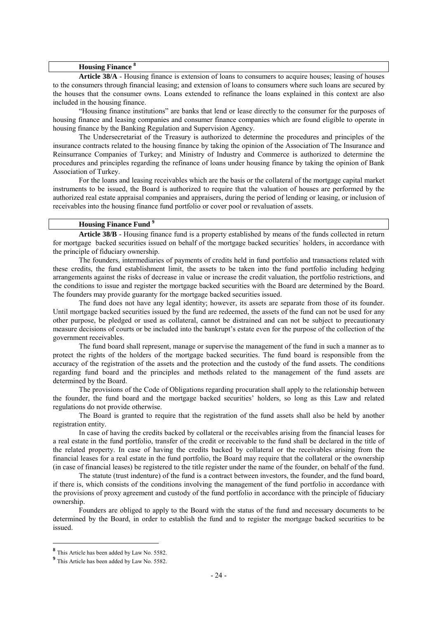#### **Housing Finance <sup>8</sup>**

**Article 38/A** - Housing finance is extension of loans to consumers to acquire houses; leasing of houses to the consumers through financial leasing; and extension of loans to consumers where such loans are secured by the houses that the consumer owns. Loans extended to refinance the loans explained in this context are also included in the housing finance.

"Housing finance institutions" are banks that lend or lease directly to the consumer for the purposes of housing finance and leasing companies and consumer finance companies which are found eligible to operate in housing finance by the Banking Regulation and Supervision Agency.

The Undersecretariat of the Treasury is authorized to determine the procedures and principles of the insurance contracts related to the housing finance by taking the opinion of the Association of The Insurance and Reinsurrance Companies of Turkey; and Ministry of Industry and Commerce is authorized to determine the procedures and principles regarding the refinance of loans under housing finance by taking the opinion of Bank Association of Turkey.

For the loans and leasing receivables which are the basis or the collateral of the mortgage capital market instruments to be issued, the Board is authorized to require that the valuation of houses are performed by the authorized real estate appraisal companies and appraisers, during the period of lending or leasing, or inclusion of receivables into the housing finance fund portfolio or cover pool or revaluation of assets.

### **Housing Finance Fund <sup>9</sup>**

**Article 38/B** - Housing finance fund is a property established by means of the funds collected in return for mortgage backed securities issued on behalf of the mortgage backed securities` holders, in accordance with the principle of fiduciary ownership.

The founders, intermediaries of payments of credits held in fund portfolio and transactions related with these credits, the fund establishment limit, the assets to be taken into the fund portfolio including hedging arrangements against the risks of decrease in value or increase the credit valuation, the portfolio restrictions, and the conditions to issue and register the mortgage backed securities with the Board are determined by the Board. The founders may provide guaranty for the mortgage backed securities issued.

The fund does not have any legal identity; however, its assets are separate from those of its founder. Until mortgage backed securities issued by the fund are redeemed, the assets of the fund can not be used for any other purpose, be pledged or used as collateral, cannot be distrained and can not be subject to precautionary measure decisions of courts or be included into the bankrupt's estate even for the purpose of the collection of the government receivables.

The fund board shall represent, manage or supervise the management of the fund in such a manner as to protect the rights of the holders of the mortgage backed securities. The fund board is responsible from the accuracy of the registration of the assets and the protection and the custody of the fund assets. The conditions regarding fund board and the principles and methods related to the management of the fund assets are determined by the Board.

The provisions of the Code of Obligations regarding procuration shall apply to the relationship between the founder, the fund board and the mortgage backed securities' holders, so long as this Law and related regulations do not provide otherwise.

The Board is granted to require that the registration of the fund assets shall also be held by another registration entity.

In case of having the credits backed by collateral or the receivables arising from the financial leases for a real estate in the fund portfolio, transfer of the credit or receivable to the fund shall be declared in the title of the related property. In case of having the credits backed by collateral or the receivables arising from the financial leases for a real estate in the fund portfolio, the Board may require that the collateral or the ownership (in case of financial leases) be registered to the title register under the name of the founder, on behalf of the fund.

The statute (trust indenture) of the fund is a contract between investors, the founder, and the fund board, if there is, which consists of the conditions involving the management of the fund portfolio in accordance with the provisions of proxy agreement and custody of the fund portfolio in accordance with the principle of fiduciary ownership.

Founders are obliged to apply to the Board with the status of the fund and necessary documents to be determined by the Board, in order to establish the fund and to register the mortgage backed securities to be issued.

**<sup>8</sup>** This Article has been added by Law No. 5582.

**<sup>9</sup>** This Article has been added by Law No. 5582.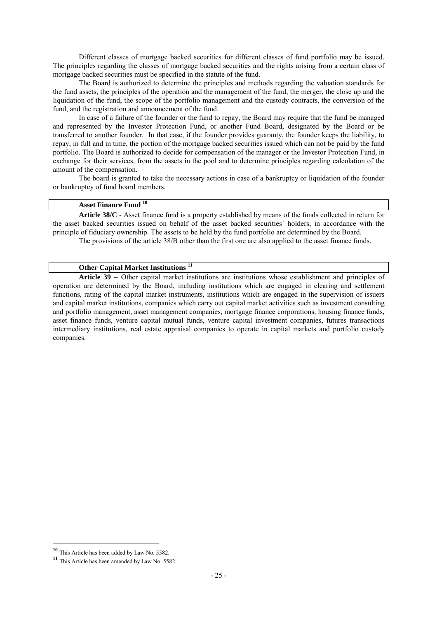Different classes of mortgage backed securities for different classes of fund portfolio may be issued. The principles regarding the classes of mortgage backed securities and the rights arising from a certain class of mortgage backed securities must be specified in the statute of the fund.

The Board is authorized to determine the principles and methods regarding the valuation standards for the fund assets, the principles of the operation and the management of the fund, the merger, the close up and the liquidation of the fund, the scope of the portfolio management and the custody contracts, the conversion of the fund, and the registration and announcement of the fund.

In case of a failure of the founder or the fund to repay, the Board may require that the fund be managed and represented by the Investor Protection Fund, or another Fund Board, designated by the Board or be transferred to another founder. In that case, if the founder provides guaranty, the founder keeps the liability, to repay, in full and in time, the portion of the mortgage backed securities issued which can not be paid by the fund portfolio. The Board is authorized to decide for compensation of the manager or the Investor Protection Fund, in exchange for their services, from the assets in the pool and to determine principles regarding calculation of the amount of the compensation.

The board is granted to take the necessary actions in case of a bankruptcy or liquidation of the founder or bankruptcy of fund board members.

## **Asset Finance Fund <sup>10</sup>**

**Article 38/C** - Asset finance fund is a property established by means of the funds collected in return for the asset backed securities issued on behalf of the asset backed securities` holders, in accordance with the principle of fiduciary ownership. The assets to be held by the fund portfolio are determined by the Board. The provisions of the article 38/B other than the first one are also applied to the asset finance funds.

## **Other Capital Market Institutions <sup>11</sup>**

 **Article 39 –** Other capital market institutions are institutions whose establishment and principles of operation are determined by the Board, including institutions which are engaged in clearing and settlement functions, rating of the capital market instruments, institutions which are engaged in the supervision of issuers and capital market institutions, companies which carry out capital market activities such as investment consulting and portfolio management, asset management companies, mortgage finance corporations, housing finance funds, asset finance funds, venture capital mutual funds, venture capital investment companies, futures transactions intermediary institutions, real estate appraisal companies to operate in capital markets and portfolio custody companies.

**<sup>10</sup>** This Article has been added by Law No. 5582.

**<sup>11</sup>** This Article has been amended by Law No. 5582.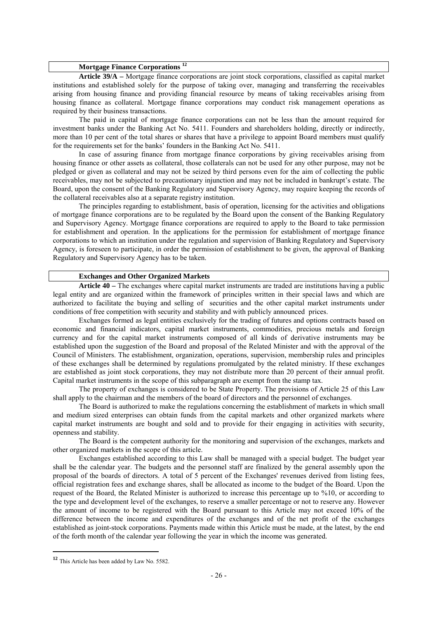## **Mortgage Finance Corporations <sup>12</sup>**

**Article 39/A –** Mortgage finance corporations are joint stock corporations, classified as capital market institutions and established solely for the purpose of taking over, managing and transferring the receivables arising from housing finance and providing financial resource by means of taking receivables arising from housing finance as collateral. Mortgage finance corporations may conduct risk management operations as required by their business transactions.

The paid in capital of mortgage finance corporations can not be less than the amount required for investment banks under the Banking Act No. 5411. Founders and shareholders holding, directly or indirectly, more than 10 per cent of the total shares or shares that have a privilege to appoint Board members must qualify for the requirements set for the banks' founders in the Banking Act No. 5411.

In case of assuring finance from mortgage finance corporations by giving receivables arising from housing finance or other assets as collateral, those collaterals can not be used for any other purpose, may not be pledged or given as collateral and may not be seized by third persons even for the aim of collecting the public receivables, may not be subjected to precautionary injunction and may not be included in bankrupt's estate. The Board, upon the consent of the Banking Regulatory and Supervisory Agency, may require keeping the records of the collateral receivables also at a separate registry institution.

The principles regarding to establishment, basis of operation, licensing for the activities and obligations of mortgage finance corporations are to be regulated by the Board upon the consent of the Banking Regulatory and Supervisory Agency. Mortgage finance corporations are required to apply to the Board to take permission for establishment and operation. In the applications for the permission for establishment of mortgage finance corporations to which an institution under the regulation and supervision of Banking Regulatory and Supervisory Agency, is foreseen to participate, in order the permission of establishment to be given, the approval of Banking Regulatory and Supervisory Agency has to be taken.

### **Exchanges and Other Organized Markets**

**Article 40 –** The exchanges where capital market instruments are traded are institutions having a public legal entity and are organized within the framework of principles written in their special laws and which are authorized to facilitate the buying and selling of securities and the other capital market instruments under conditions of free competition with security and stability and with publicly announced prices.

 Exchanges formed as legal entities exclusively for the trading of futures and options contracts based on economic and financial indicators, capital market instruments, commodities, precious metals and foreign currency and for the capital market instruments composed of all kinds of derivative instruments may be established upon the suggestion of the Board and proposal of the Related Minister and with the approval of the Council of Ministers. The establishment, organization, operations, supervision, membership rules and principles of these exchanges shall be determined by regulations promulgated by the related ministry. If these exchanges are established as joint stock corporations, they may not distribute more than 20 percent of their annual profit. Capital market instruments in the scope of this subparagraph are exempt from the stamp tax.

 The property of exchanges is considered to be State Property. The provisions of Article 25 of this Law shall apply to the chairman and the members of the board of directors and the personnel of exchanges.

 The Board is authorized to make the regulations concerning the establishment of markets in which small and medium sized enterprises can obtain funds from the capital markets and other organized markets where capital market instruments are bought and sold and to provide for their engaging in activities with security, openness and stability.

 The Board is the competent authority for the monitoring and supervision of the exchanges, markets and other organized markets in the scope of this article.

 Exchanges established according to this Law shall be managed with a special budget. The budget year shall be the calendar year. The budgets and the personnel staff are finalized by the general assembly upon the proposal of the boards of directors. A total of 5 percent of the Exchanges' revenues derived from listing fees, official registration fees and exchange shares, shall be allocated as income to the budget of the Board. Upon the request of the Board, the Related Minister is authorized to increase this percentage up to %10, or according to the type and development level of the exchanges, to reserve a smaller percentage or not to reserve any. However the amount of income to be registered with the Board pursuant to this Article may not exceed 10% of the difference between the income and expenditures of the exchanges and of the net profit of the exchanges established as joint-stock corporations. Payments made within this Article must be made, at the latest, by the end of the forth month of the calendar year following the year in which the income was generated*.*

**<sup>12</sup>** This Article has been added by Law No. 5582.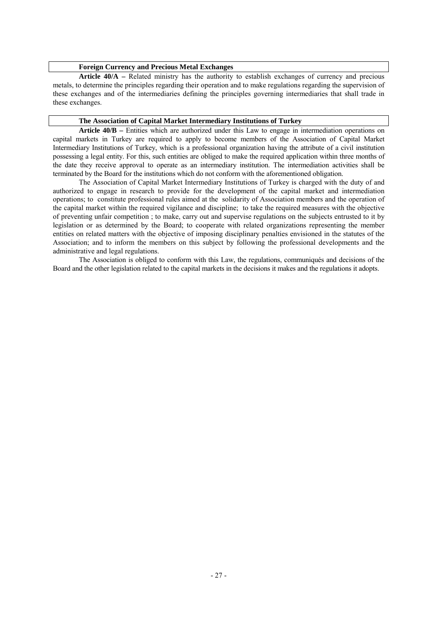### **Foreign Currency and Precious Metal Exchanges**

**Article 40/A –** Related ministry has the authority to establish exchanges of currency and precious metals, to determine the principles regarding their operation and to make regulations regarding the supervision of these exchanges and of the intermediaries defining the principles governing intermediaries that shall trade in these exchanges.

#### **The Association of Capital Market Intermediary Institutions of Turkey**

**Article 40/B –** Entities which are authorized under this Law to engage in intermediation operations on capital markets in Turkey are required to apply to become members of the Association of Capital Market Intermediary Institutions of Turkey, which is a professional organization having the attribute of a civil institution possessing a legal entity. For this, such entities are obliged to make the required application within three months of the date they receive approval to operate as an intermediary institution. The intermediation activities shall be terminated by the Board for the institutions which do not conform with the aforementioned obligation.

The Association of Capital Market Intermediary Institutions of Turkey is charged with the duty of and authorized to engage in research to provide for the development of the capital market and intermediation operations; to constitute professional rules aimed at the solidarity of Association members and the operation of the capital market within the required vigilance and discipline; to take the required measures with the objective of preventing unfair competition ; to make, carry out and supervise regulations on the subjects entrusted to it by legislation or as determined by the Board; to cooperate with related organizations representing the member entities on related matters with the objective of imposing disciplinary penalties envisioned in the statutes of the Association; and to inform the members on this subject by following the professional developments and the administrative and legal regulations.

 The Association is obliged to conform with this Law, the regulations, communiqués and decisions of the Board and the other legislation related to the capital markets in the decisions it makes and the regulations it adopts.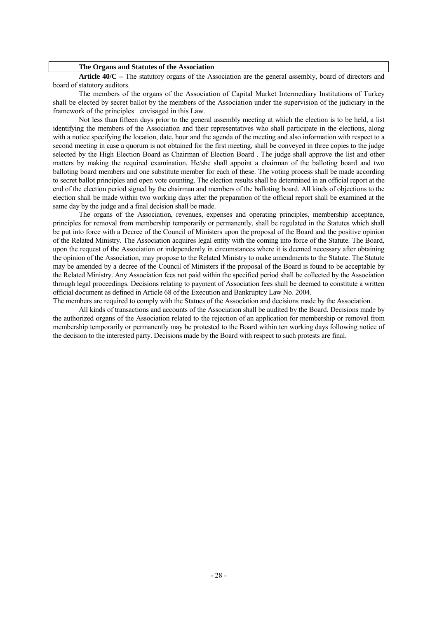#### **The Organs and Statutes of the Association**

 **Article 40/C –** The statutory organs of the Association are the general assembly, board of directors and board of statutory auditors.

 The members of the organs of the Association of Capital Market Intermediary Institutions of Turkey shall be elected by secret ballot by the members of the Association under the supervision of the judiciary in the framework of the principles envisaged in this Law.

 Not less than fifteen days prior to the general assembly meeting at which the election is to be held, a list identifying the members of the Association and their representatives who shall participate in the elections, along with a notice specifying the location, date, hour and the agenda of the meeting and also information with respect to a second meeting in case a quorum is not obtained for the first meeting, shall be conveyed in three copies to the judge selected by the High Election Board as Chairman of Election Board . The judge shall approve the list and other matters by making the required examination. He/she shall appoint a chairman of the balloting board and two balloting board members and one substitute member for each of these. The voting process shall be made according to secret ballot principles and open vote counting. The election results shall be determined in an official report at the end of the election period signed by the chairman and members of the balloting board. All kinds of objections to the election shall be made within two working days after the preparation of the official report shall be examined at the same day by the judge and a final decision shall be made.

 The organs of the Association, revenues, expenses and operating principles, membership acceptance, principles for removal from membership temporarily or permanently, shall be regulated in the Statutes which shall be put into force with a Decree of the Council of Ministers upon the proposal of the Board and the positive opinion of the Related Ministry. The Association acquires legal entity with the coming into force of the Statute. The Board, upon the request of the Association or independently in circumstances where it is deemed necessary after obtaining the opinion of the Association, may propose to the Related Ministry to make amendments to the Statute. The Statute may be amended by a decree of the Council of Ministers if the proposal of the Board is found to be acceptable by the Related Ministry. Any Association fees not paid within the specified period shall be collected by the Association through legal proceedings. Decisions relating to payment of Association fees shall be deemed to constitute a written official document as defined in Article 68 of the Execution and Bankruptcy Law No. 2004. The members are required to comply with the Statues of the Association and decisions made by the Association.

 All kinds of transactions and accounts of the Association shall be audited by the Board. Decisions made by the authorized organs of the Association related to the rejection of an application for membership or removal from membership temporarily or permanently may be protested to the Board within ten working days following notice of the decision to the interested party. Decisions made by the Board with respect to such protests are final.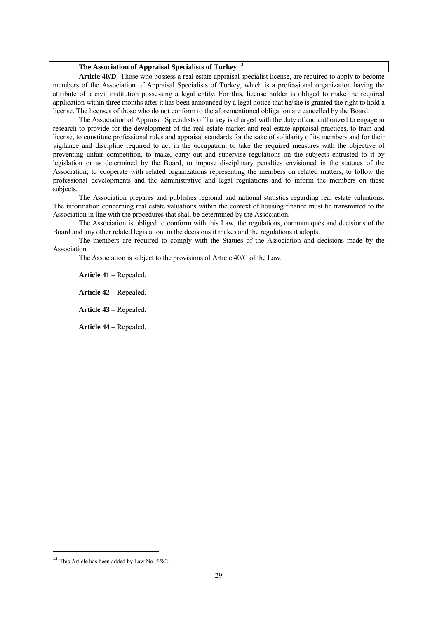## **The Association of Appraisal Specialists of Turkey <sup>13</sup>**

 **Article 40/D-** Those who possess a real estate appraisal specialist license, are required to apply to become members of the Association of Appraisal Specialists of Turkey, which is a professional organization having the attribute of a civil institution possessing a legal entity. For this, license holder is obliged to make the required application within three months after it has been announced by a legal notice that he/she is granted the right to hold a license. The licenses of those who do not conform to the aforementioned obligation are cancelled by the Board.

 The Association of Appraisal Specialists of Turkey is charged with the duty of and authorized to engage in research to provide for the development of the real estate market and real estate appraisal practices, to train and license, to constitute professional rules and appraisal standards for the sake of solidarity of its members and for their vigilance and discipline required to act in the occupation, to take the required measures with the objective of preventing unfair competition, to make, carry out and supervise regulations on the subjects entrusted to it by legislation or as determined by the Board, to impose disciplinary penalties envisioned in the statutes of the Association; to cooperate with related organizations representing the members on related matters, to follow the professional developments and the administrative and legal regulations and to inform the members on these subjects.

 The Association prepares and publishes regional and national statistics regarding real estate valuations. The information concerning real estate valuations within the context of housing finance must be transmitted to the Association in line with the procedures that shall be determined by the Association.

 The Association is obliged to conform with this Law, the regulations, communiqués and decisions of the Board and any other related legislation, in the decisions it makes and the regulations it adopts.

 The members are required to comply with the Statues of the Association and decisions made by the Association.

The Association is subject to the provisions of Article 40/C of the Law.

**Article 41 –** Repealed.

 **Article 42 –** Repealed.

 **Article 43 –** Repealed.

 **Article 44 –** Repealed.

**<sup>13</sup>** This Article has been added by Law No. 5582.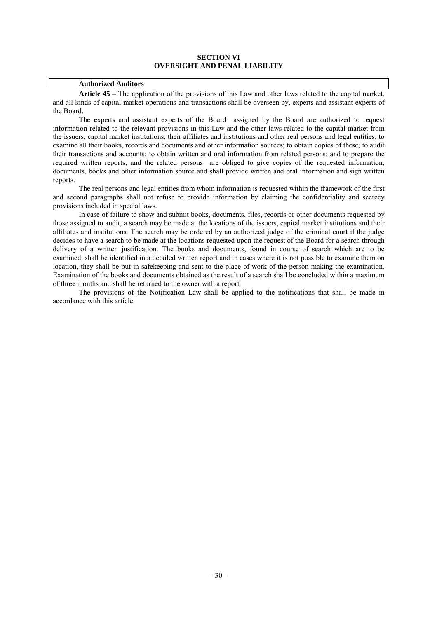### **SECTION VI OVERSIGHT AND PENAL LIABILITY**

#### **Authorized Auditors**

**Article 45 –** The application of the provisions of this Law and other laws related to the capital market, and all kinds of capital market operations and transactions shall be overseen by, experts and assistant experts of the Board.

 The experts and assistant experts of the Board assigned by the Board are authorized to request information related to the relevant provisions in this Law and the other laws related to the capital market from the issuers, capital market institutions, their affiliates and institutions and other real persons and legal entities; to examine all their books, records and documents and other information sources; to obtain copies of these; to audit their transactions and accounts; to obtain written and oral information from related persons; and to prepare the required written reports; and the related persons are obliged to give copies of the requested information, documents, books and other information source and shall provide written and oral information and sign written reports.

 The real persons and legal entities from whom information is requested within the framework of the first and second paragraphs shall not refuse to provide information by claiming the confidentiality and secrecy provisions included in special laws.

 In case of failure to show and submit books, documents, files, records or other documents requested by those assigned to audit, a search may be made at the locations of the issuers, capital market institutions and their affiliates and institutions. The search may be ordered by an authorized judge of the criminal court if the judge decides to have a search to be made at the locations requested upon the request of the Board for a search through delivery of a written justification. The books and documents, found in course of search which are to be examined, shall be identified in a detailed written report and in cases where it is not possible to examine them on location, they shall be put in safekeeping and sent to the place of work of the person making the examination. Examination of the books and documents obtained as the result of a search shall be concluded within a maximum of three months and shall be returned to the owner with a report.

 The provisions of the Notification Law shall be applied to the notifications that shall be made in accordance with this article.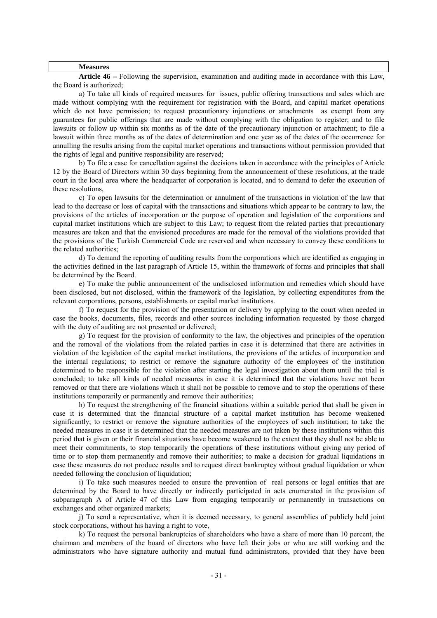#### **Measures**

 **Article 46 –** Following the supervision, examination and auditing made in accordance with this Law, the Board is authorized;

a) To take all kinds of required measures for issues, public offering transactions and sales which are made without complying with the requirement for registration with the Board, and capital market operations which do not have permission; to request precautionary injunctions or attachments as exempt from any guarantees for public offerings that are made without complying with the obligation to register; and to file lawsuits or follow up within six months as of the date of the precautionary injunction or attachment; to file a lawsuit within three months as of the dates of determination and one year as of the dates of the occurrence for annulling the results arising from the capital market operations and transactions without permission provided that the rights of legal and punitive responsibility are reserved;

 b) To file a case for cancellation against the decisions taken in accordance with the principles of Article 12 by the Board of Directors within 30 days beginning from the announcement of these resolutions, at the trade court in the local area where the headquarter of corporation is located, and to demand to defer the execution of these resolutions,

c) To open lawsuits for the determination or annulment of the transactions in violation of the law that lead to the decrease or loss of capital with the transactions and situations which appear to be contrary to law, the provisions of the articles of incorporation or the purpose of operation and legislation of the corporations and capital market institutions which are subject to this Law; to request from the related parties that precautionary measures are taken and that the envisioned procedures are made for the removal of the violations provided that the provisions of the Turkish Commercial Code are reserved and when necessary to convey these conditions to the related authorities:

 d) To demand the reporting of auditing results from the corporations which are identified as engaging in the activities defined in the last paragraph of Article 15, within the framework of forms and principles that shall be determined by the Board.

 e) To make the public announcement of the undisclosed information and remedies which should have been disclosed, but not disclosed, within the framework of the legislation, by collecting expenditures from the relevant corporations, persons, establishments or capital market institutions.

f) To request for the provision of the presentation or delivery by applying to the court when needed in case the books, documents, files, records and other sources including information requested by those charged with the duty of auditing are not presented or delivered;

g) To request for the provision of conformity to the law, the objectives and principles of the operation and the removal of the violations from the related parties in case it is determined that there are activities in violation of the legislation of the capital market institutions, the provisions of the articles of incorporation and the internal regulations; to restrict or remove the signature authority of the employees of the institution determined to be responsible for the violation after starting the legal investigation about them until the trial is concluded; to take all kinds of needed measures in case it is determined that the violations have not been removed or that there are violations which it shall not be possible to remove and to stop the operations of these institutions temporarily or permanently and remove their authorities;

h) To request the strengthening of the financial situations within a suitable period that shall be given in case it is determined that the financial structure of a capital market institution has become weakened significantly; to restrict or remove the signature authorities of the employees of such institution; to take the needed measures in case it is determined that the needed measures are not taken by these institutions within this period that is given or their financial situations have become weakened to the extent that they shall not be able to meet their commitments, to stop temporarily the operations of these institutions without giving any period of time or to stop them permanently and remove their authorities; to make a decision for gradual liquidations in case these measures do not produce results and to request direct bankruptcy without gradual liquidation or when needed following the conclusion of liquidation;

i) To take such measures needed to ensure the prevention of real persons or legal entities that are determined by the Board to have directly or indirectly participated in acts enumerated in the provision of subparagraph A of Article 47 of this Law from engaging temporarily or permanently in transactions on exchanges and other organized markets;

j) To send a representative, when it is deemed necessary, to general assemblies of publicly held joint stock corporations, without his having a right to vote,

k) To request the personal bankruptcies of shareholders who have a share of more than 10 percent, the chairman and members of the board of directors who have left their jobs or who are still working and the administrators who have signature authority and mutual fund administrators, provided that they have been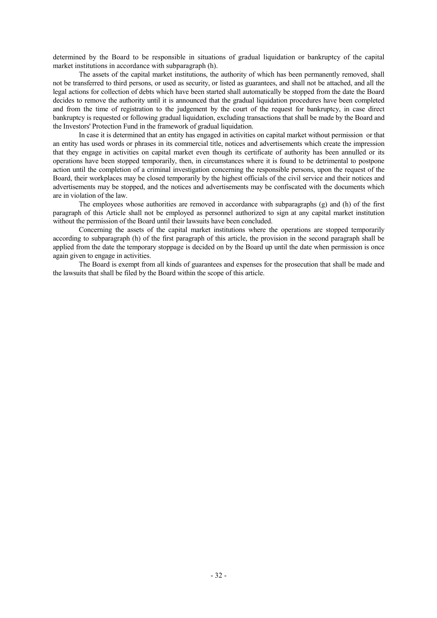determined by the Board to be responsible in situations of gradual liquidation or bankruptcy of the capital market institutions in accordance with subparagraph (h).

 The assets of the capital market institutions, the authority of which has been permanently removed, shall not be transferred to third persons, or used as security, or listed as guarantees, and shall not be attached, and all the legal actions for collection of debts which have been started shall automatically be stopped from the date the Board decides to remove the authority until it is announced that the gradual liquidation procedures have been completed and from the time of registration to the judgement by the court of the request for bankruptcy, in case direct bankruptcy is requested or following gradual liquidation, excluding transactions that shall be made by the Board and the Investors' Protection Fund in the framework of gradual liquidation.

 In case it is determined that an entity has engaged in activities on capital market without permission or that an entity has used words or phrases in its commercial title, notices and advertisements which create the impression that they engage in activities on capital market even though its certificate of authority has been annulled or its operations have been stopped temporarily, then, in circumstances where it is found to be detrimental to postpone action until the completion of a criminal investigation concerning the responsible persons, upon the request of the Board, their workplaces may be closed temporarily by the highest officials of the civil service and their notices and advertisements may be stopped, and the notices and advertisements may be confiscated with the documents which are in violation of the law.

 The employees whose authorities are removed in accordance with subparagraphs (g) and (h) of the first paragraph of this Article shall not be employed as personnel authorized to sign at any capital market institution without the permission of the Board until their lawsuits have been concluded.

 Concerning the assets of the capital market institutions where the operations are stopped temporarily according to subparagraph (h) of the first paragraph of this article, the provision in the second paragraph shall be applied from the date the temporary stoppage is decided on by the Board up until the date when permission is once again given to engage in activities.

 The Board is exempt from all kinds of guarantees and expenses for the prosecution that shall be made and the lawsuits that shall be filed by the Board within the scope of this article.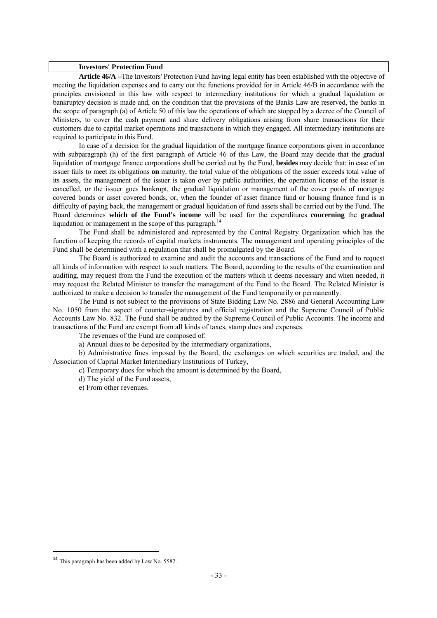#### **Investors' Protection Fund**

**Article 46/A –**The Investors' Protection Fund having legal entity has been established with the objective of meeting the liquidation expenses and to carry out the functions provided for in Article 46/B in accordance with the principles envisioned in this law with respect to intermediary institutions for which a gradual liquidation or bankruptcy decision is made and, on the condition that the provisions of the Banks Law are reserved, the banks in the scope of paragraph (a) of Article 50 of this law the operations of which are stopped by a decree of the Council of Ministers, to cover the cash payment and share delivery obligations arising from share transactions for their customers due to capital market operations and transactions in which they engaged. All intermediary institutions are required to participate in this Fund.

In case of a decision for the gradual liquidation of the mortgage finance corporations given in accordance with subparagraph (h) of the first paragraph of Article 46 of this Law, the Board may decide that the gradual liquidation of mortgage finance corporations shall be carried out by the Fund, **besides** may decide that; in case of an issuer fails to meet its obligations **on** maturity, the total value of the obligations of the issuer exceeds total value of its assets, the management of the issuer is taken over by public authorities, the operation license of the issuer is cancelled, or the issuer goes bankrupt, the gradual liquidation or management of the cover pools of mortgage covered bonds or asset covered bonds, or, when the founder of asset finance fund or housing finance fund is in difficulty of paying back, the management or gradual liquidation of fund assets shall be carried out by the Fund. The Board determines **which of the Fund's income** will be used for the expenditures **concerning** the **gradual**  liquidation or management in the scope of this paragraph.<sup>14</sup>

 The Fund shall be administered and represented by the Central Registry Organization which has the function of keeping the records of capital markets instruments. The management and operating principles of the Fund shall be determined with a regulation that shall be promulgated by the Board.

The Board is authorized to examine and audit the accounts and transactions of the Fund and to request all kinds of information with respect to such matters. The Board, according to the results of the examination and auditing, may request from the Fund the execution of the matters which it deems necessary and when needed, it may request the Related Minister to transfer the management of the Fund to the Board. The Related Minister is authorized to make a decision to transfer the management of the Fund temporarily or permanently.

 The Fund is not subject to the provisions of State Bidding Law No. 2886 and General Accounting Law No. 1050 from the aspect of counter-signatures and official registration and the Supreme Council of Public Accounts Law No. 832. The Fund shall be audited by the Supreme Council of Public Accounts. The income and transactions of the Fund are exempt from all kinds of taxes, stamp dues and expenses.

The revenues of the Fund are composed of:

a) Annual dues to be deposited by the intermediary organizations,

 b) Administrative fines imposed by the Board, the exchanges on which securities are traded, and the Association of Capital Market Intermediary Institutions of Turkey,

c) Temporary dues for which the amount is determined by the Board,

d) The yield of the Fund assets,

e) From other revenues.

**<sup>14</sup>** This paragraph has been added by Law No. 5582.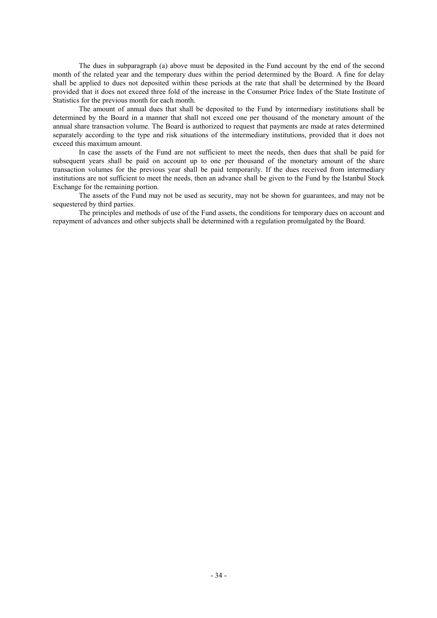The dues in subparagraph (a) above must be deposited in the Fund account by the end of the second month of the related year and the temporary dues within the period determined by the Board. A fine for delay shall be applied to dues not deposited within these periods at the rate that shall be determined by the Board provided that it does not exceed three fold of the increase in the Consumer Price Index of the State Institute of Statistics for the previous month for each month.

 The amount of annual dues that shall be deposited to the Fund by intermediary institutions shall be determined by the Board in a manner that shall not exceed one per thousand of the monetary amount of the annual share transaction volume. The Board is authorized to request that payments are made at rates determined separately according to the type and risk situations of the intermediary institutions, provided that it does not exceed this maximum amount.

 In case the assets of the Fund are not sufficient to meet the needs, then dues that shall be paid for subsequent years shall be paid on account up to one per thousand of the monetary amount of the share transaction volumes for the previous year shall be paid temporarily. If the dues received from intermediary institutions are not sufficient to meet the needs, then an advance shall be given to the Fund by the Istanbul Stock Exchange for the remaining portion.

 The assets of the Fund may not be used as security, may not be shown for guarantees, and may not be sequestered by third parties.

 The principles and methods of use of the Fund assets, the conditions for temporary dues on account and repayment of advances and other subjects shall be determined with a regulation promulgated by the Board.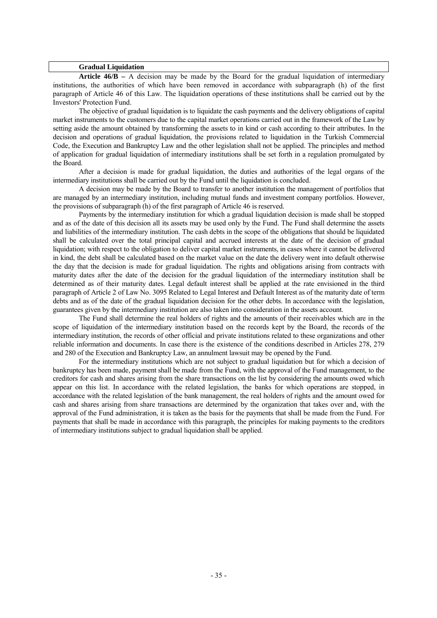#### **Gradual Liquidation**

 **Article 46/B –** A decision may be made by the Board for the gradual liquidation of intermediary institutions, the authorities of which have been removed in accordance with subparagraph (h) of the first paragraph of Article 46 of this Law. The liquidation operations of these institutions shall be carried out by the Investors' Protection Fund.

The objective of gradual liquidation is to liquidate the cash payments and the delivery obligations of capital market instruments to the customers due to the capital market operations carried out in the framework of the Law by setting aside the amount obtained by transforming the assets to in kind or cash according to their attributes. In the decision and operations of gradual liquidation, the provisions related to liquidation in the Turkish Commercial Code, the Execution and Bankruptcy Law and the other legislation shall not be applied. The principles and method of application for gradual liquidation of intermediary institutions shall be set forth in a regulation promulgated by the Board.

 After a decision is made for gradual liquidation, the duties and authorities of the legal organs of the intermediary institutions shall be carried out by the Fund until the liquidation is concluded.

 A decision may be made by the Board to transfer to another institution the management of portfolios that are managed by an intermediary institution, including mutual funds and investment company portfolios. However, the provisions of subparagraph (h) of the first paragraph of Article 46 is reserved.

 Payments by the intermediary institution for which a gradual liquidation decision is made shall be stopped and as of the date of this decision all its assets may be used only by the Fund. The Fund shall determine the assets and liabilities of the intermediary institution. The cash debts in the scope of the obligations that should be liquidated shall be calculated over the total principal capital and accrued interests at the date of the decision of gradual liquidation; with respect to the obligation to deliver capital market instruments, in cases where it cannot be delivered in kind, the debt shall be calculated based on the market value on the date the delivery went into default otherwise the day that the decision is made for gradual liquidation. The rights and obligations arising from contracts with maturity dates after the date of the decision for the gradual liquidation of the intermediary institution shall be determined as of their maturity dates. Legal default interest shall be applied at the rate envisioned in the third paragraph of Article 2 of Law No. 3095 Related to Legal Interest and Default Interest as of the maturity date of term debts and as of the date of the gradual liquidation decision for the other debts. In accordance with the legislation, guarantees given by the intermediary institution are also taken into consideration in the assets account.

 The Fund shall determine the real holders of rights and the amounts of their receivables which are in the scope of liquidation of the intermediary institution based on the records kept by the Board, the records of the intermediary institution, the records of other official and private institutions related to these organizations and other reliable information and documents. In case there is the existence of the conditions described in Articles 278, 279 and 280 of the Execution and Bankruptcy Law, an annulment lawsuit may be opened by the Fund.

 For the intermediary institutions which are not subject to gradual liquidation but for which a decision of bankruptcy has been made, payment shall be made from the Fund, with the approval of the Fund management, to the creditors for cash and shares arising from the share transactions on the list by considering the amounts owed which appear on this list. In accordance with the related legislation, the banks for which operations are stopped, in accordance with the related legislation of the bank management, the real holders of rights and the amount owed for cash and shares arising from share transactions are determined by the organization that takes over and, with the approval of the Fund administration, it is taken as the basis for the payments that shall be made from the Fund. For payments that shall be made in accordance with this paragraph, the principles for making payments to the creditors of intermediary institutions subject to gradual liquidation shall be applied.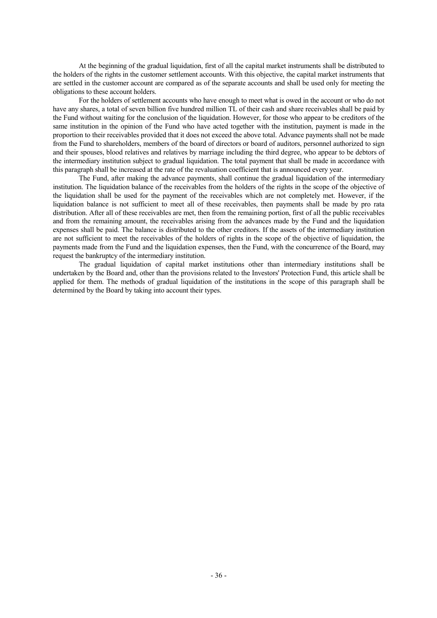At the beginning of the gradual liquidation, first of all the capital market instruments shall be distributed to the holders of the rights in the customer settlement accounts. With this objective, the capital market instruments that are settled in the customer account are compared as of the separate accounts and shall be used only for meeting the obligations to these account holders.

 For the holders of settlement accounts who have enough to meet what is owed in the account or who do not have any shares, a total of seven billion five hundred million TL of their cash and share receivables shall be paid by the Fund without waiting for the conclusion of the liquidation. However, for those who appear to be creditors of the same institution in the opinion of the Fund who have acted together with the institution, payment is made in the proportion to their receivables provided that it does not exceed the above total. Advance payments shall not be made from the Fund to shareholders, members of the board of directors or board of auditors, personnel authorized to sign and their spouses, blood relatives and relatives by marriage including the third degree, who appear to be debtors of the intermediary institution subject to gradual liquidation. The total payment that shall be made in accordance with this paragraph shall be increased at the rate of the revaluation coefficient that is announced every year.

 The Fund, after making the advance payments, shall continue the gradual liquidation of the intermediary institution. The liquidation balance of the receivables from the holders of the rights in the scope of the objective of the liquidation shall be used for the payment of the receivables which are not completely met. However, if the liquidation balance is not sufficient to meet all of these receivables, then payments shall be made by pro rata distribution. After all of these receivables are met, then from the remaining portion, first of all the public receivables and from the remaining amount, the receivables arising from the advances made by the Fund and the liquidation expenses shall be paid. The balance is distributed to the other creditors. If the assets of the intermediary institution are not sufficient to meet the receivables of the holders of rights in the scope of the objective of liquidation, the payments made from the Fund and the liquidation expenses, then the Fund, with the concurrence of the Board, may request the bankruptcy of the intermediary institution.

 The gradual liquidation of capital market institutions other than intermediary institutions shall be undertaken by the Board and, other than the provisions related to the Investors' Protection Fund, this article shall be applied for them. The methods of gradual liquidation of the institutions in the scope of this paragraph shall be determined by the Board by taking into account their types.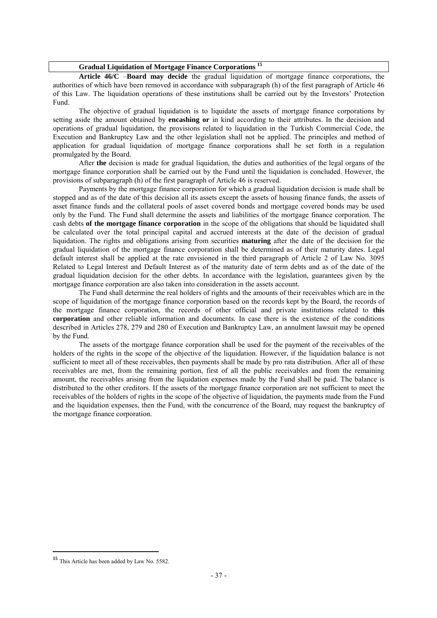| Gradual Liquidation of Mortgage Finance Corporations <sup>15</sup> |  |
|--------------------------------------------------------------------|--|
|                                                                    |  |

**Article 46/C** –**Board may decide** the gradual liquidation of mortgage finance corporations, the authorities of which have been removed in accordance with subparagraph (h) of the first paragraph of Article 46 of this Law. The liquidation operations of these institutions shall be carried out by the Investors' Protection Fund.

The objective of gradual liquidation is to liquidate the assets of mortgage finance corporations by setting aside the amount obtained by **encashing or** in kind according to their attributes. In the decision and operations of gradual liquidation, the provisions related to liquidation in the Turkish Commercial Code, the Execution and Bankruptcy Law and the other legislation shall not be applied. The principles and method of application for gradual liquidation of mortgage finance corporations shall be set forth in a regulation promulgated by the Board.

After **the** decision is made for gradual liquidation, the duties and authorities of the legal organs of the mortgage finance corporation shall be carried out by the Fund until the liquidation is concluded. However, the provisions of subparagraph (h) of the first paragraph of Article 46 is reserved.

Payments by the mortgage finance corporation for which a gradual liquidation decision is made shall be stopped and as of the date of this decision all its assets except the assets of housing finance funds, the assets of asset finance funds and the collateral pools of asset covered bonds and mortgage covered bonds may be used only by the Fund. The Fund shall determine the assets and liabilities of the mortgage finance corporation. The cash debts **of the mortgage finance corporation** in the scope of the obligations that should be liquidated shall be calculated over the total principal capital and accrued interests at the date of the decision of gradual liquidation. The rights and obligations arising from securities **maturing** after the date of the decision for the gradual liquidation of the mortgage finance corporation shall be determined as of their maturity dates. Legal default interest shall be applied at the rate envisioned in the third paragraph of Article 2 of Law No. 3095 Related to Legal Interest and Default Interest as of the maturity date of term debts and as of the date of the gradual liquidation decision for the other debts. In accordance with the legislation, guarantees given by the mortgage finance corporation are also taken into consideration in the assets account.

The Fund shall determine the real holders of rights and the amounts of their receivables which are in the scope of liquidation of the mortgage finance corporation based on the records kept by the Board, the records of the mortgage finance corporation, the records of other official and private institutions related to **this corporation** and other reliable information and documents. In case there is the existence of the conditions described in Articles 278, 279 and 280 of Execution and Bankruptcy Law, an annulment lawsuit may be opened by the Fund.

The assets of the mortgage finance corporation shall be used for the payment of the receivables of the holders of the rights in the scope of the objective of the liquidation. However, if the liquidation balance is not sufficient to meet all of these receivables, then payments shall be made by pro rata distribution. After all of these receivables are met, from the remaining portion, first of all the public receivables and from the remaining amount, the receivables arising from the liquidation expenses made by the Fund shall be paid. The balance is distributed to the other creditors. If the assets of the mortgage finance corporation are not sufficient to meet the receivables of the holders of rights in the scope of the objective of liquidation, the payments made from the Fund and the liquidation expenses, then the Fund, with the concurrence of the Board, may request the bankruptcy of the mortgage finance corporation.

**<sup>15</sup>** This Article has been added by Law No. 5582.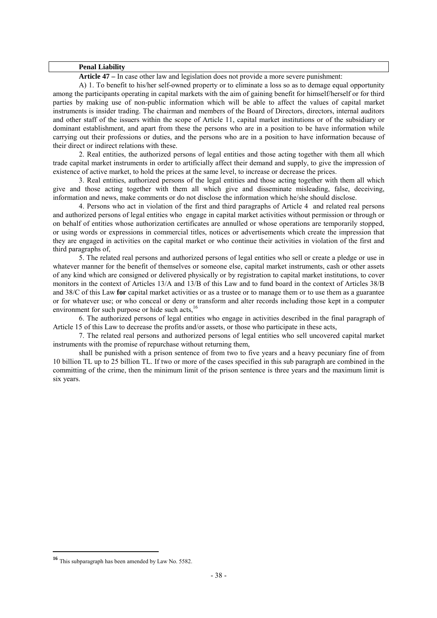### **Penal Liability**

 **Article 47 –** In case other law and legislation does not provide a more severe punishment:

 A) 1. To benefit to his/her self-owned property or to eliminate a loss so as to demage equal opportunity among the participants operating in capital markets with the aim of gaining benefit for himself/herself or for third parties by making use of non-public information which will be able to affect the values of capital market instruments is insider trading. The chairman and members of the Board of Directors, directors, internal auditors and other staff of the issuers within the scope of Article 11, capital market institutions or of the subsidiary or dominant establishment, and apart from these the persons who are in a position to be have information while carrying out their professions or duties, and the persons who are in a position to have information because of their direct or indirect relations with these.

 2. Real entities, the authorized persons of legal entities and those acting together with them all which trade capital market instruments in order to artificially affect their demand and supply, to give the impression of existence of active market, to hold the prices at the same level, to increase or decrease the prices.

 3. Real entities, authorized persons of the legal entities and those acting together with them all which give and those acting together with them all which give and disseminate misleading, false, deceiving, information and news, make comments or do not disclose the information which he/she should disclose.

4. Persons who act in violation of the first and third paragraphs of Article 4 and related real persons and authorized persons of legal entities who engage in capital market activities without permission or through or on behalf of entities whose authorization certificates are annulled or whose operations are temporarily stopped, or using words or expressions in commercial titles, notices or advertisements which create the impression that they are engaged in activities on the capital market or who continue their activities in violation of the first and third paragraphs of,

 5. The related real persons and authorized persons of legal entities who sell or create a pledge or use in whatever manner for the benefit of themselves or someone else, capital market instruments, cash or other assets of any kind which are consigned or delivered physically or by registration to capital market institutions, to cover monitors in the context of Articles 13/A and 13/B of this Law and to fund board in the context of Articles 38/B and 38/C of this Law **for** capital market activities or as a trustee or to manage them or to use them as a guarantee or for whatever use; or who conceal or deny or transform and alter records including those kept in a computer environment for such purpose or hide such acts.<sup>16</sup>

 6. The authorized persons of legal entities who engage in activities described in the final paragraph of Article 15 of this Law to decrease the profits and/or assets, or those who participate in these acts,

 7. The related real persons and authorized persons of legal entities who sell uncovered capital market instruments with the promise of repurchase without returning them,

 shall be punished with a prison sentence of from two to five years and a heavy pecuniary fine of from 10 billion TL up to 25 billion TL. If two or more of the cases specified in this sub paragraph are combined in the committing of the crime, then the minimum limit of the prison sentence is three years and the maximum limit is six years.

**<sup>16</sup>** This subparagraph has been amended by Law No. 5582.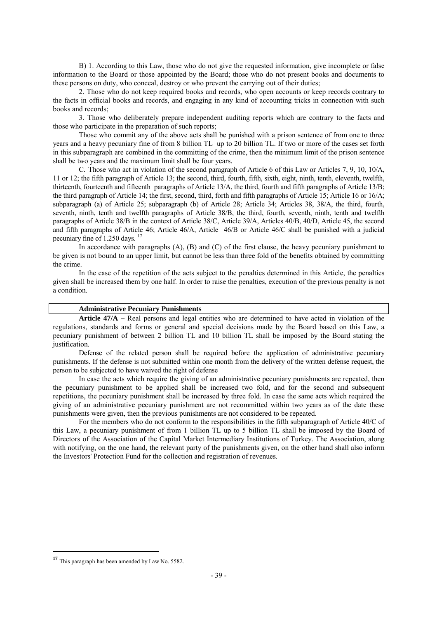B) 1. According to this Law, those who do not give the requested information, give incomplete or false information to the Board or those appointed by the Board; those who do not present books and documents to these persons on duty, who conceal, destroy or who prevent the carrying out of their duties;

 2. Those who do not keep required books and records, who open accounts or keep records contrary to the facts in official books and records, and engaging in any kind of accounting tricks in connection with such books and records;

 3. Those who deliberately prepare independent auditing reports which are contrary to the facts and those who participate in the preparation of such reports;

 Those who commit any of the above acts shall be punished with a prison sentence of from one to three years and a heavy pecuniary fine of from 8 billion TL up to 20 billion TL. If two or more of the cases set forth in this subparagraph are combined in the committing of the crime, then the minimum limit of the prison sentence shall be two years and the maximum limit shall be four years.

 C. Those who act in violation of the second paragraph of Article 6 of this Law or Articles 7, 9, 10, 10/A, 11 or 12; the fifth paragraph of Article 13; the second, third, fourth, fifth, sixth, eight, ninth, tenth, eleventh, twelfth, thirteenth, fourteenth and fifteenth paragraphs of Article 13/A, the third, fourth and fifth paragraphs of Article 13/B; the third paragraph of Article 14; the first, second, third, forth and fifth paragraphs of Article 15; Article 16 or 16/A; subparagraph (a) of Article 25; subparagraph (b) of Article 28; Article 34; Articles 38, 38/A, the third, fourth, seventh, ninth, tenth and twelfth paragraphs of Article 38/B, the third, fourth, seventh, ninth, tenth and twelfth paragraphs of Article 38/B in the context of Article 38/C, Article 39/A, Articles 40/B, 40/D, Article 45, the second and fifth paragraphs of Article 46; Article 46/A, Article 46/B or Article 46/C shall be punished with a judicial pecuniary fine of 1.250 days. 17

 In accordance with paragraphs (A), (B) and (C) of the first clause, the heavy pecuniary punishment to be given is not bound to an upper limit, but cannot be less than three fold of the benefits obtained by committing the crime.

 In the case of the repetition of the acts subject to the penalties determined in this Article, the penalties given shall be increased them by one half. In order to raise the penalties, execution of the previous penalty is not a condition.

### **Administrative Pecuniary Punishments**

 **Article 47/A –** Real persons and legal entities who are determined to have acted in violation of the regulations, standards and forms or general and special decisions made by the Board based on this Law, a pecuniary punishment of between 2 billion TL and 10 billion TL shall be imposed by the Board stating the justification.

 Defense of the related person shall be required before the application of administrative pecuniary punishments. If the defense is not submitted within one month from the delivery of the written defense request, the person to be subjected to have waived the right of defense

 In case the acts which require the giving of an administrative pecuniary punishments are repeated, then the pecuniary punishment to be applied shall be increased two fold, and for the second and subsequent repetitions, the pecuniary punishment shall be increased by three fold. In case the same acts which required the giving of an administrative pecuniary punishment are not recommitted within two years as of the date these punishments were given, then the previous punishments are not considered to be repeated.

 For the members who do not conform to the responsibilities in the fifth subparagraph of Article 40/C of this Law, a pecuniary punishment of from 1 billion TL up to 5 billion TL shall be imposed by the Board of Directors of the Association of the Capital Market Intermediary Institutions of Turkey. The Association, along with notifying, on the one hand, the relevant party of the punishments given, on the other hand shall also inform the Investors' Protection Fund for the collection and registration of revenues.

**<sup>17</sup>** This paragraph has been amended by Law No. 5582.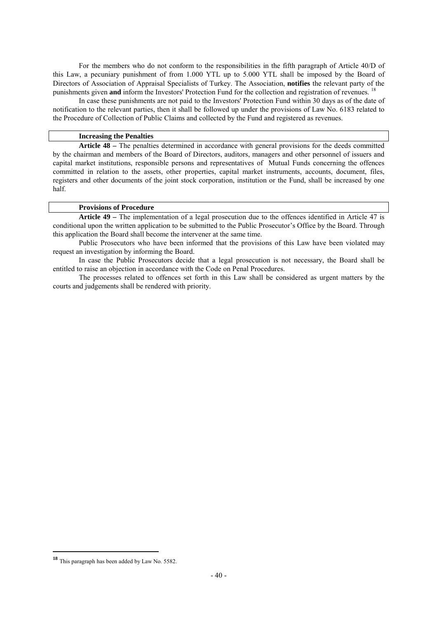For the members who do not conform to the responsibilities in the fifth paragraph of Article 40/D of this Law, a pecuniary punishment of from 1.000 YTL up to 5.000 YTL shall be imposed by the Board of Directors of Association of Appraisal Specialists of Turkey. The Association, **notifies** the relevant party of the punishments given **and** inform the Investors' Protection Fund for the collection and registration of revenues.

In case these punishments are not paid to the Investors' Protection Fund within 30 days as of the date of notification to the relevant parties, then it shall be followed up under the provisions of Law No. 6183 related to the Procedure of Collection of Public Claims and collected by the Fund and registered as revenues.

### **Increasing the Penalties**

 **Article 48 –** The penalties determined in accordance with general provisions for the deeds committed by the chairman and members of the Board of Directors, auditors, managers and other personnel of issuers and capital market institutions, responsible persons and representatives of Mutual Funds concerning the offences committed in relation to the assets, other properties, capital market instruments, accounts, document, files, registers and other documents of the joint stock corporation, institution or the Fund, shall be increased by one half.

### **Provisions of Procedure**

**Article 49 –** The implementation of a legal prosecution due to the offences identified in Article 47 is conditional upon the written application to be submitted to the Public Prosecutor's Office by the Board. Through this application the Board shall become the intervener at the same time.

 Public Prosecutors who have been informed that the provisions of this Law have been violated may request an investigation by informing the Board.

 In case the Public Prosecutors decide that a legal prosecution is not necessary, the Board shall be entitled to raise an objection in accordance with the Code on Penal Procedures.

 The processes related to offences set forth in this Law shall be considered as urgent matters by the courts and judgements shall be rendered with priority.

**<sup>18</sup>** This paragraph has been added by Law No. 5582.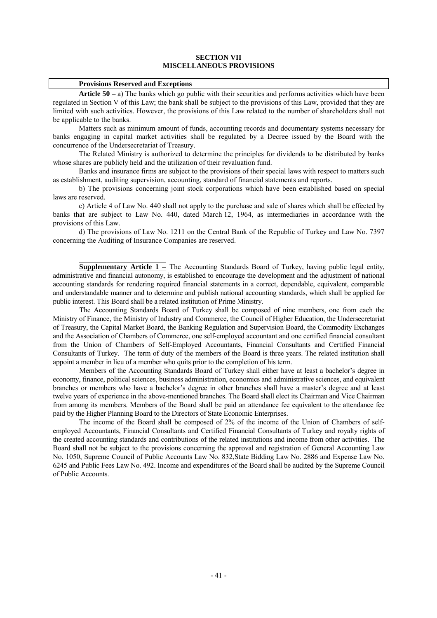### **SECTION VII MISCELLANEOUS PROVISIONS**

#### **Provisions Reserved and Exceptions**

 **Article 50 –** a) The banks which go public with their securities and performs activities which have been regulated in Section V of this Law; the bank shall be subject to the provisions of this Law, provided that they are limited with such activities. However, the provisions of this Law related to the number of shareholders shall not be applicable to the banks.

 Matters such as minimum amount of funds, accounting records and documentary systems necessary for banks engaging in capital market activities shall be regulated by a Decree issued by the Board with the concurrence of the Undersecretariat of Treasury.

 The Related Ministry is authorized to determine the principles for dividends to be distributed by banks whose shares are publicly held and the utilization of their revaluation fund.

 Banks and insurance firms are subject to the provisions of their special laws with respect to matters such as establishment, auditing supervision, accounting, standard of financial statements and reports.

 b) The provisions concerning joint stock corporations which have been established based on special laws are reserved.

 c) Article 4 of Law No. 440 shall not apply to the purchase and sale of shares which shall be effected by banks that are subject to Law No. 440, dated March 12, 1964, as intermediaries in accordance with the provisions of this Law.

 d) The provisions of Law No. 1211 on the Central Bank of the Republic of Turkey and Law No. 7397 concerning the Auditing of Insurance Companies are reserved.

**Supplementary Article 1** – The Accounting Standards Board of Turkey, having public legal entity, administrative and financial autonomy, is established to encourage the development and the adjustment of national accounting standards for rendering required financial statements in a correct, dependable, equivalent, comparable and understandable manner and to determine and publish national accounting standards, which shall be applied for public interest. This Board shall be a related institution of Prime Ministry.

The Accounting Standards Board of Turkey shall be composed of nine members, one from each the Ministry of Finance, the Ministry of Industry and Commerce, the Council of Higher Education, the Undersecretariat of Treasury, the Capital Market Board, the Banking Regulation and Supervision Board, the Commodity Exchanges and the Association of Chambers of Commerce, one self-employed accountant and one certified financial consultant from the Union of Chambers of Self-Employed Accountants, Financial Consultants and Certified Financial Consultants of Turkey. The term of duty of the members of the Board is three years. The related institution shall appoint a member in lieu of a member who quits prior to the completion of his term.

Members of the Accounting Standards Board of Turkey shall either have at least a bachelor's degree in economy, finance, political sciences, business administration, economics and administrative sciences, and equivalent branches or members who have a bachelor's degree in other branches shall have a master's degree and at least twelve years of experience in the above-mentioned branches. The Board shall elect its Chairman and Vice Chairman from among its members. Members of the Board shall be paid an attendance fee equivalent to the attendance fee paid by the Higher Planning Board to the Directors of State Economic Enterprises.

The income of the Board shall be composed of 2% of the income of the Union of Chambers of selfemployed Accountants, Financial Consultants and Certified Financial Consultants of Turkey and royalty rights of the created accounting standards and contributions of the related institutions and income from other activities. The Board shall not be subject to the provisions concerning the approval and registration of General Accounting Law No. 1050, Supreme Council of Public Accounts Law No. 832,State Bidding Law No. 2886 and Expense Law No. 6245 and Public Fees Law No. 492. Income and expenditures of the Board shall be audited by the Supreme Council of Public Accounts.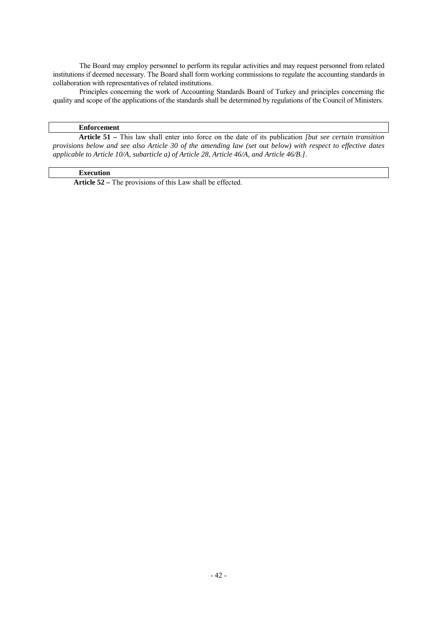The Board may employ personnel to perform its regular activities and may request personnel from related institutions if deemed necessary. The Board shall form working commissions to regulate the accounting standards in collaboration with representatives of related institutions.

Principles concerning the work of Accounting Standards Board of Turkey and principles concerning the quality and scope of the applications of the standards shall be determined by regulations of the Council of Ministers.

## **Enforcement**

**Article 51 –** This law shall enter into force on the date of its publication *[but see certain transition provisions below and see also Article 30 of the amending law (set out below) with respect to effective dates applicable to Article 10/A, subarticle a) of Article 28, Article 46/A, and Article 46/B.]*.

## **Execution**

**Article 52 –** The provisions of this Law shall be effected.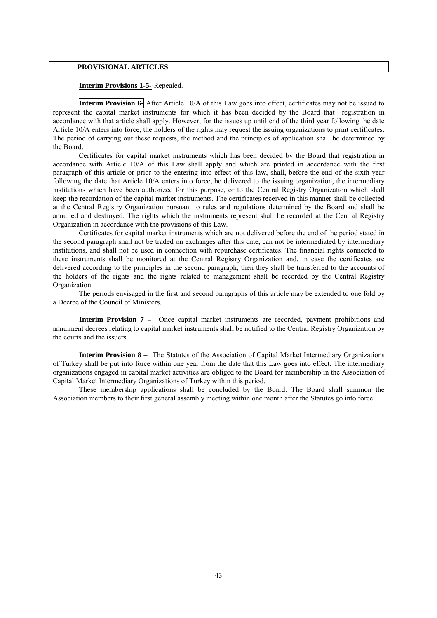### **PROVISIONAL ARTICLES**

## **Interim Provisions 1-5-** Repealed.

**Interim Provision 6-** After Article 10/A of this Law goes into effect, certificates may not be issued to represent the capital market instruments for which it has been decided by the Board that registration in accordance with that article shall apply. However, for the issues up until end of the third year following the date Article 10/A enters into force, the holders of the rights may request the issuing organizations to print certificates. The period of carrying out these requests, the method and the principles of application shall be determined by the Board.

 Certificates for capital market instruments which has been decided by the Board that registration in accordance with Article 10/A of this Law shall apply and which are printed in accordance with the first paragraph of this article or prior to the entering into effect of this law, shall, before the end of the sixth year following the date that Article 10/A enters into force, be delivered to the issuing organization, the intermediary institutions which have been authorized for this purpose, or to the Central Registry Organization which shall keep the recordation of the capital market instruments. The certificates received in this manner shall be collected at the Central Registry Organization pursuant to rules and regulations determined by the Board and shall be annulled and destroyed. The rights which the instruments represent shall be recorded at the Central Registry Organization in accordance with the provisions of this Law.

 Certificates for capital market instruments which are not delivered before the end of the period stated in the second paragraph shall not be traded on exchanges after this date, can not be intermediated by intermediary institutions, and shall not be used in connection with repurchase certificates. The financial rights connected to these instruments shall be monitored at the Central Registry Organization and, in case the certificates are delivered according to the principles in the second paragraph, then they shall be transferred to the accounts of the holders of the rights and the rights related to management shall be recorded by the Central Registry Organization.

 The periods envisaged in the first and second paragraphs of this article may be extended to one fold by a Decree of the Council of Ministers.

**Interim Provision 7 –**  Once capital market instruments are recorded, payment prohibitions and annulment decrees relating to capital market instruments shall be notified to the Central Registry Organization by the courts and the issuers.

**Interim Provision 8** – The Statutes of the Association of Capital Market Intermediary Organizations of Turkey shall be put into force within one year from the date that this Law goes into effect. The intermediary organizations engaged in capital market activities are obliged to the Board for membership in the Association of Capital Market Intermediary Organizations of Turkey within this period.

 These membership applications shall be concluded by the Board. The Board shall summon the Association members to their first general assembly meeting within one month after the Statutes go into force.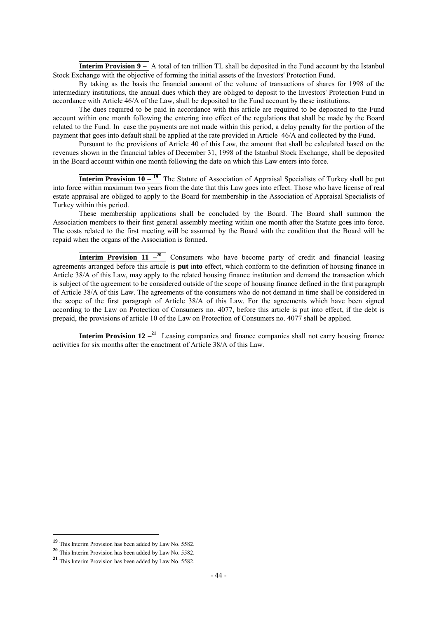**Interim Provision 9** –  $\overline{A}$  total of ten trillion TL shall be deposited in the Fund account by the Istanbul Stock Exchange with the objective of forming the initial assets of the Investors' Protection Fund.

 By taking as the basis the financial amount of the volume of transactions of shares for 1998 of the intermediary institutions, the annual dues which they are obliged to deposit to the Investors' Protection Fund in accordance with Article 46/A of the Law, shall be deposited to the Fund account by these institutions.

 The dues required to be paid in accordance with this article are required to be deposited to the Fund account within one month following the entering into effect of the regulations that shall be made by the Board related to the Fund. In case the payments are not made within this period, a delay penalty for the portion of the payment that goes into default shall be applied at the rate provided in Article 46/A and collected by the Fund.

 Pursuant to the provisions of Article 40 of this Law, the amount that shall be calculated based on the revenues shown in the financial tables of December 31, 1998 of the Istanbul Stock Exchange, shall be deposited in the Board account within one month following the date on which this Law enters into force.

**Interim Provision 10 – <sup>19</sup>** The Statute of Association of Appraisal Specialists of Turkey shall be put into force within maximum two years from the date that this Law goes into effect. Those who have license of real estate appraisal are obliged to apply to the Board for membership in the Association of Appraisal Specialists of Turkey within this period.

These membership applications shall be concluded by the Board. The Board shall summon the Association members to their first general assembly meeting within one month after the Statute go**es** into force. The costs related to the first meeting will be assumed by the Board with the condition that the Board will be repaid when the organs of the Association is formed.

**Interim Provision 11** –<sup>20</sup> Consumers who have become party of credit and financial leasing agreements arranged before this article is **put** in**to** effect, which conform to the definition of housing finance in Article 38/A of this Law, may apply to the related housing finance institution and demand the transaction which is subject of the agreement to be considered outside of the scope of housing finance defined in the first paragraph of Article 38/A of this Law. The agreements of the consumers who do not demand in time shall be considered in the scope of the first paragraph of Article 38/A of this Law. For the agreements which have been signed according to the Law on Protection of Consumers no. 4077, before this article is put into effect, if the debt is prepaid, the provisions of article 10 of the Law on Protection of Consumers no. 4077 shall be applied.

**Interim Provision 12**<sup>-21</sup> Leasing companies and finance companies shall not carry housing finance activities for six months after the enactment of Article 38/A of this Law.

**<sup>19</sup>** This Interim Provision has been added by Law No. 5582.

**<sup>20</sup>** This Interim Provision has been added by Law No. 5582.

**<sup>21</sup>** This Interim Provision has been added by Law No. 5582.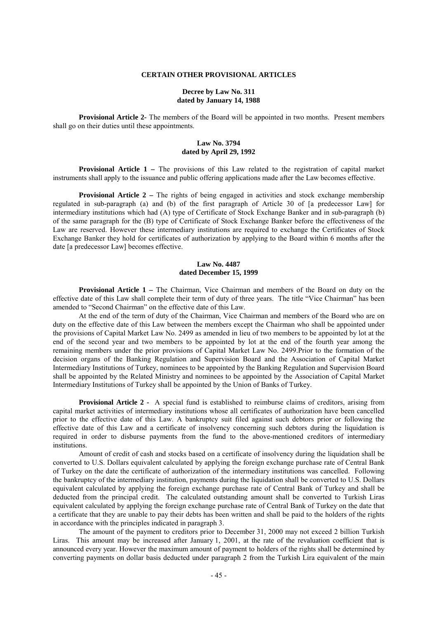#### **CERTAIN OTHER PROVISIONAL ARTICLES**

### **Decree by Law No. 311 dated by January 14, 1988**

**Provisional Article 2-** The members of the Board will be appointed in two months. Present members shall go on their duties until these appointments.

### **Law No. 3794 dated by April 29, 1992**

**Provisional Article 1 –** The provisions of this Law related to the registration of capital market instruments shall apply to the issuance and public offering applications made after the Law becomes effective.

**Provisional Article 2** – The rights of being engaged in activities and stock exchange membership regulated in sub-paragraph (a) and (b) of the first paragraph of Article 30 of [a predecessor Law] for intermediary institutions which had (A) type of Certificate of Stock Exchange Banker and in sub-paragraph (b) of the same paragraph for the (B) type of Certificate of Stock Exchange Banker before the effectiveness of the Law are reserved. However these intermediary institutions are required to exchange the Certificates of Stock Exchange Banker they hold for certificates of authorization by applying to the Board within 6 months after the date [a predecessor Law] becomes effective.

### **Law No. 4487 dated December 15, 1999**

**Provisional Article 1 –** The Chairman, Vice Chairman and members of the Board on duty on the effective date of this Law shall complete their term of duty of three years. The title "Vice Chairman" has been amended to "Second Chairman" on the effective date of this Law.

At the end of the term of duty of the Chairman, Vice Chairman and members of the Board who are on duty on the effective date of this Law between the members except the Chairman who shall be appointed under the provisions of Capital Market Law No. 2499 as amended in lieu of two members to be appointed by lot at the end of the second year and two members to be appointed by lot at the end of the fourth year among the remaining members under the prior provisions of Capital Market Law No. 2499.Prior to the formation of the decision organs of the Banking Regulation and Supervision Board and the Association of Capital Market Intermediary Institutions of Turkey, nominees to be appointed by the Banking Regulation and Supervision Board shall be appointed by the Related Ministry and nominees to be appointed by the Association of Capital Market Intermediary Institutions of Turkey shall be appointed by the Union of Banks of Turkey.

**Provisional Article 2 -** A special fund is established to reimburse claims of creditors, arising from capital market activities of intermediary institutions whose all certificates of authorization have been cancelled prior to the effective date of this Law. A bankruptcy suit filed against such debtors prior or following the effective date of this Law and a certificate of insolvency concerning such debtors during the liquidation is required in order to disburse payments from the fund to the above-mentioned creditors of intermediary institutions.

Amount of credit of cash and stocks based on a certificate of insolvency during the liquidation shall be converted to U.S. Dollars equivalent calculated by applying the foreign exchange purchase rate of Central Bank of Turkey on the date the certificate of authorization of the intermediary institutions was cancelled. Following the bankruptcy of the intermediary institution, payments during the liquidation shall be converted to U.S. Dollars equivalent calculated by applying the foreign exchange purchase rate of Central Bank of Turkey and shall be deducted from the principal credit. The calculated outstanding amount shall be converted to Turkish Liras equivalent calculated by applying the foreign exchange purchase rate of Central Bank of Turkey on the date that a certificate that they are unable to pay their debts has been written and shall be paid to the holders of the rights in accordance with the principles indicated in paragraph 3.

The amount of the payment to creditors prior to December 31, 2000 may not exceed 2 billion Turkish Liras. This amount may be increased after January 1, 2001, at the rate of the revaluation coefficient that is announced every year. However the maximum amount of payment to holders of the rights shall be determined by converting payments on dollar basis deducted under paragraph 2 from the Turkish Lira equivalent of the main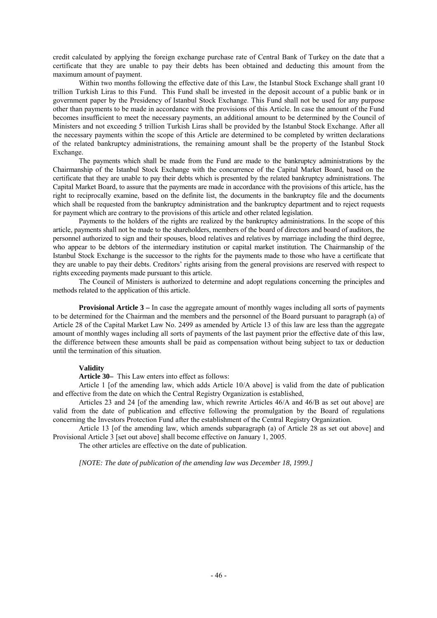credit calculated by applying the foreign exchange purchase rate of Central Bank of Turkey on the date that a certificate that they are unable to pay their debts has been obtained and deducting this amount from the maximum amount of payment.

Within two months following the effective date of this Law, the Istanbul Stock Exchange shall grant 10 trillion Turkish Liras to this Fund. This Fund shall be invested in the deposit account of a public bank or in government paper by the Presidency of Istanbul Stock Exchange. This Fund shall not be used for any purpose other than payments to be made in accordance with the provisions of this Article. In case the amount of the Fund becomes insufficient to meet the necessary payments, an additional amount to be determined by the Council of Ministers and not exceeding 5 trillion Turkish Liras shall be provided by the Istanbul Stock Exchange. After all the necessary payments within the scope of this Article are determined to be completed by written declarations of the related bankruptcy administrations, the remaining amount shall be the property of the Istanbul Stock Exchange.

 The payments which shall be made from the Fund are made to the bankruptcy administrations by the Chairmanship of the Istanbul Stock Exchange with the concurrence of the Capital Market Board, based on the certificate that they are unable to pay their debts which is presented by the related bankruptcy administrations. The Capital Market Board, to assure that the payments are made in accordance with the provisions of this article, has the right to reciprocally examine, based on the definite list, the documents in the bankruptcy file and the documents which shall be requested from the bankruptcy administration and the bankruptcy department and to reject requests for payment which are contrary to the provisions of this article and other related legislation.

 Payments to the holders of the rights are realized by the bankruptcy administrations. In the scope of this article, payments shall not be made to the shareholders, members of the board of directors and board of auditors, the personnel authorized to sign and their spouses, blood relatives and relatives by marriage including the third degree, who appear to be debtors of the intermediary institution or capital market institution. The Chairmanship of the Istanbul Stock Exchange is the successor to the rights for the payments made to those who have a certificate that they are unable to pay their debts. Creditors' rights arising from the general provisions are reserved with respect to rights exceeding payments made pursuant to this article.

The Council of Ministers is authorized to determine and adopt regulations concerning the principles and methods related to the application of this article.

**Provisional Article 3** – In case the aggregate amount of monthly wages including all sorts of payments to be determined for the Chairman and the members and the personnel of the Board pursuant to paragraph (a) of Article 28 of the Capital Market Law No. 2499 as amended by Article 13 of this law are less than the aggregate amount of monthly wages including all sorts of payments of the last payment prior the effective date of this law, the difference between these amounts shall be paid as compensation without being subject to tax or deduction until the termination of this situation.

### **Validity**

**Article 30–** This Law enters into effect as follows:

 Article 1 [of the amending law, which adds Article 10/A above] is valid from the date of publication and effective from the date on which the Central Registry Organization is established,

 Articles 23 and 24 [of the amending law, which rewrite Articles 46/A and 46/B as set out above] are valid from the date of publication and effective following the promulgation by the Board of regulations concerning the Investors Protection Fund after the establishment of the Central Registry Organization.

 Article 13 [of the amending law, which amends subparagraph (a) of Article 28 as set out above] and Provisional Article 3 [set out above] shall become effective on January 1, 2005.

The other articles are effective on the date of publication.

*[NOTE: The date of publication of the amending law was December 18, 1999.]*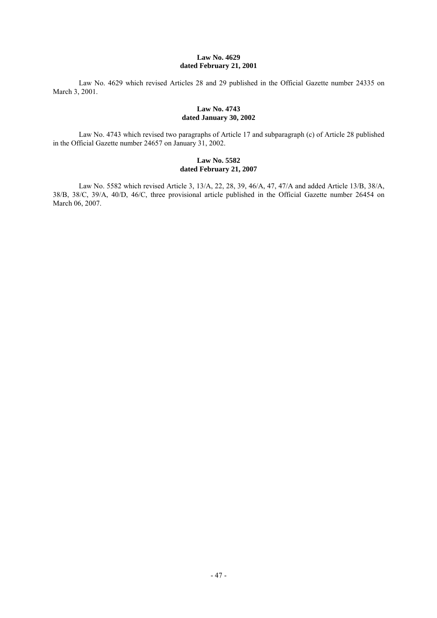### **Law No. 4629 dated February 21, 2001**

Law No. 4629 which revised Articles 28 and 29 published in the Official Gazette number 24335 on March 3, 2001.

### **Law No. 4743 dated January 30, 2002**

 Law No. 4743 which revised two paragraphs of Article 17 and subparagraph (c) of Article 28 published in the Official Gazette number 24657 on January 31, 2002.

### **Law No. 5582 dated February 21, 2007**

 Law No. 5582 which revised Article 3, 13/A, 22, 28, 39, 46/A, 47, 47/A and added Article 13/B, 38/A, 38/B, 38/C, 39/A, 40/D, 46/C, three provisional article published in the Official Gazette number 26454 on March 06, 2007.